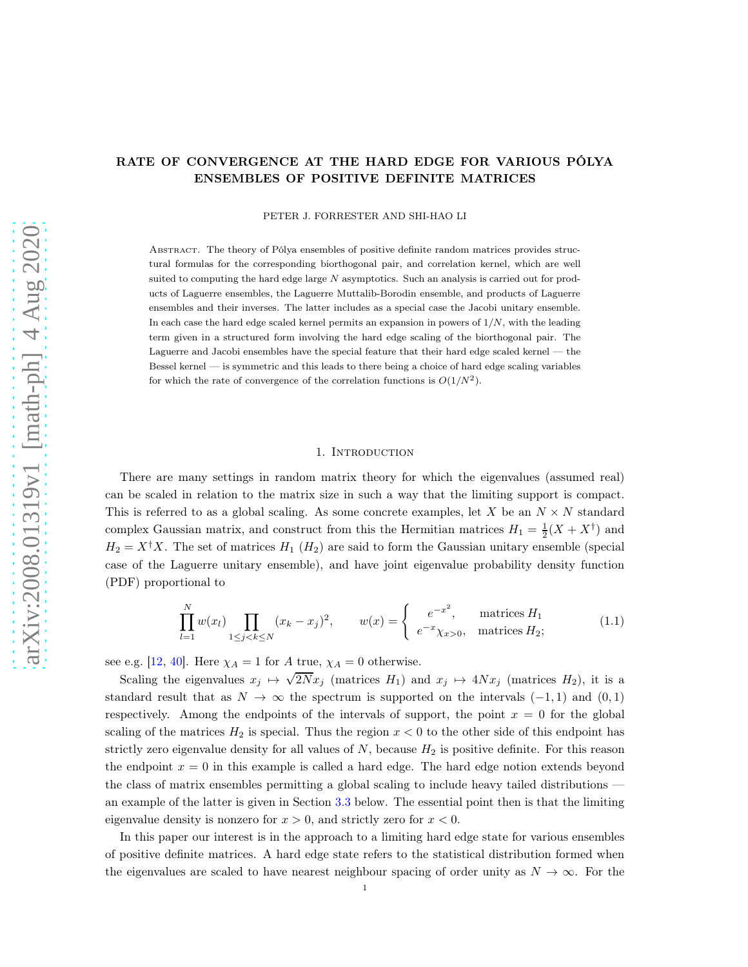# RATE OF CONVERGENCE AT THE HARD EDGE FOR VARIOUS PÓLYA ENSEMBLES OF POSITIVE DEFINITE MATRICES

PETER J. FORRESTER AND SHI-HAO LI

Abstract. The theory of Pólya ensembles of positive definite random matrices provides structural formulas for the corresponding biorthogonal pair, and correlation kernel, which are well suited to computing the hard edge large  $N$  asymptotics. Such an analysis is carried out for products of Laguerre ensembles, the Laguerre Muttalib-Borodin ensemble, and products of Laguerre ensembles and their inverses. The latter includes as a special case the Jacobi unitary ensemble. In each case the hard edge scaled kernel permits an expansion in powers of  $1/N$ , with the leading term given in a structured form involving the hard edge scaling of the biorthogonal pair. The Laguerre and Jacobi ensembles have the special feature that their hard edge scaled kernel — the Bessel kernel — is symmetric and this leads to there being a choice of hard edge scaling variables for which the rate of convergence of the correlation functions is  $O(1/N^2)$ .

#### 1. Introduction

There are many settings in random matrix theory for which the eigenvalues (assumed real) can be scaled in relation to the matrix size in such a way that the limiting support is compact. This is referred to as a global scaling. As some concrete examples, let X be an  $N \times N$  standard complex Gaussian matrix, and construct from this the Hermitian matrices  $H_1 = \frac{1}{2}(X + X^{\dagger})$  and  $H_2 = X^{\dagger} X$ . The set of matrices  $H_1(H_2)$  are said to form the Gaussian unitary ensemble (special case of the Laguerre unitary ensemble), and have joint eigenvalue probability density function (PDF) proportional to

<span id="page-0-0"></span>
$$
\prod_{l=1}^{N} w(x_l) \prod_{1 \le j < k \le N} (x_k - x_j)^2, \qquad w(x) = \begin{cases} e^{-x^2}, & \text{matrices } H_1 \\ e^{-x} \chi_{x > 0}, & \text{matrices } H_2; \end{cases} \tag{1.1}
$$

see e.g. [\[12](#page-18-0), [40](#page-19-0)]. Here  $\chi_A = 1$  for A true,  $\chi_A = 0$  otherwise.

Scaling the eigenvalues  $x_j \mapsto \sqrt{2N}x_j$  (matrices  $H_1$ ) and  $x_j \mapsto 4Nx_j$  (matrices  $H_2$ ), it is a standard result that as  $N \to \infty$  the spectrum is supported on the intervals  $(-1, 1)$  and  $(0, 1)$ respectively. Among the endpoints of the intervals of support, the point  $x = 0$  for the global scaling of the matrices  $H_2$  is special. Thus the region  $x < 0$  to the other side of this endpoint has strictly zero eigenvalue density for all values of  $N$ , because  $H_2$  is positive definite. For this reason the endpoint  $x = 0$  in this example is called a hard edge. The hard edge notion extends beyond the class of matrix ensembles permitting a global scaling to include heavy tailed distributions an example of the latter is given in Section [3.3](#page-11-0) below. The essential point then is that the limiting eigenvalue density is nonzero for  $x > 0$ , and strictly zero for  $x < 0$ .

In this paper our interest is in the approach to a limiting hard edge state for various ensembles of positive definite matrices. A hard edge state refers to the statistical distribution formed when the eigenvalues are scaled to have nearest neighbour spacing of order unity as  $N \to \infty$ . For the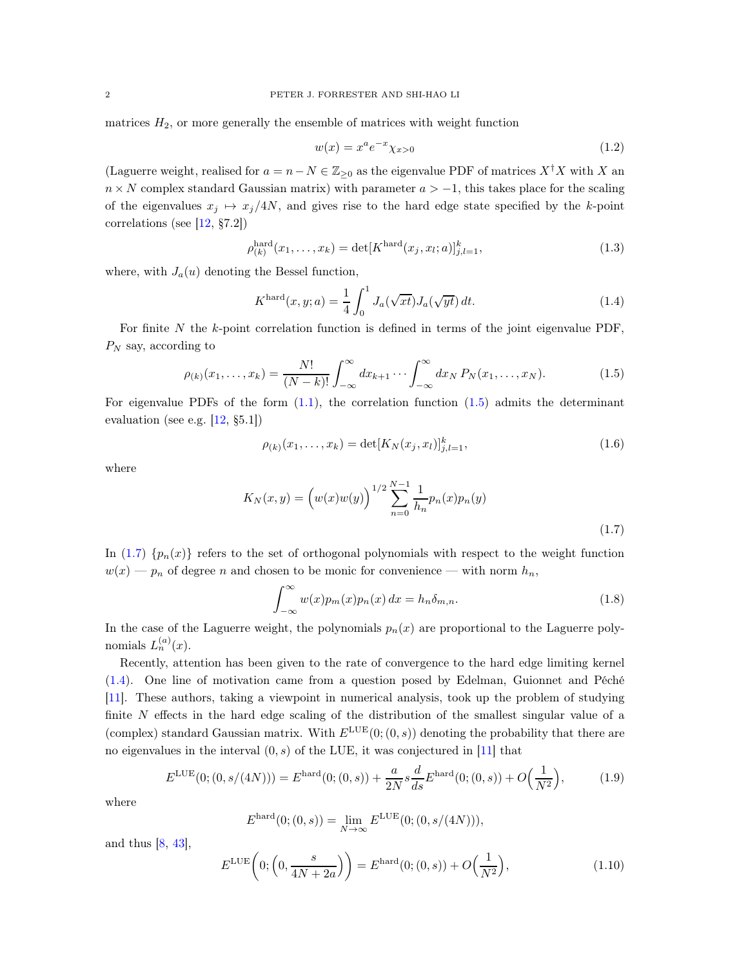matrices  $H_2$ , or more generally the ensemble of matrices with weight function

<span id="page-1-6"></span>
$$
w(x) = x^{a} e^{-x} \chi_{x>0}
$$
\n(1.2)

(Laguerre weight, realised for  $a = n - N \in \mathbb{Z}_{\geq 0}$  as the eigenvalue PDF of matrices  $X^{\dagger}X$  with X and  $n \times N$  complex standard Gaussian matrix) with parameter  $a > -1$ , this takes place for the scaling of the eigenvalues  $x_j \mapsto x_j/4N$ , and gives rise to the hard edge state specified by the k-point correlations (see [\[12,](#page-18-0) §7.2])

<span id="page-1-4"></span>
$$
\rho_{(k)}^{\text{hard}}(x_1, \dots, x_k) = \det[K^{\text{hard}}(x_j, x_l; a)]_{j,l=1}^k,
$$
\n(1.3)

where, with  $J_a(u)$  denoting the Bessel function,

<span id="page-1-2"></span>
$$
K^{\text{hard}}(x, y; a) = \frac{1}{4} \int_0^1 J_a(\sqrt{xt}) J_a(\sqrt{yt}) dt.
$$
 (1.4)

For finite  $N$  the  $k$ -point correlation function is defined in terms of the joint eigenvalue PDF,  $P_N$  say, according to

<span id="page-1-0"></span>
$$
\rho_{(k)}(x_1, \dots, x_k) = \frac{N!}{(N-k)!} \int_{-\infty}^{\infty} dx_{k+1} \cdots \int_{-\infty}^{\infty} dx_N P_N(x_1, \dots, x_N).
$$
 (1.5)

For eigenvalue PDFs of the form  $(1.1)$ , the correlation function  $(1.5)$  admits the determinant evaluation (see e.g. [\[12](#page-18-0), §5.1])

<span id="page-1-7"></span>
$$
\rho_{(k)}(x_1,\ldots,x_k) = \det[K_N(x_j,x_l)]_{j,l=1}^k,
$$
\n(1.6)

where

$$
K_N(x,y) = \left(w(x)w(y)\right)^{1/2} \sum_{n=0}^{N-1} \frac{1}{h_n} p_n(x) p_n(y)
$$
\n(1.7)

In [\(1.7\)](#page-1-1)  $\{p_n(x)\}\$  refers to the set of orthogonal polynomials with respect to the weight function  $w(x) - p_n$  of degree n and chosen to be monic for convenience — with norm  $h_n$ ,

<span id="page-1-1"></span>
$$
\int_{-\infty}^{\infty} w(x) p_m(x) p_n(x) dx = h_n \delta_{m,n}.
$$
 (1.8)

In the case of the Laguerre weight, the polynomials  $p_n(x)$  are proportional to the Laguerre polynomials  $L_n^{(a)}(x)$ .

Recently, attention has been given to the rate of convergence to the hard edge limiting kernel [\(1.4\)](#page-1-2). One line of motivation came from a question posed by Edelman, Guionnet and Péché [\[11\]](#page-18-1). These authors, taking a viewpoint in numerical analysis, took up the problem of studying finite N effects in the hard edge scaling of the distribution of the smallest singular value of a (complex) standard Gaussian matrix. With  $E^{\text{LUE}}(0;(0,s))$  denoting the probability that there are no eigenvalues in the interval  $(0, s)$  of the LUE, it was conjectured in [\[11](#page-18-1)] that

<span id="page-1-3"></span>
$$
E^{\text{LUE}}(0; (0, s/(4N))) = E^{\text{hard}}(0; (0, s)) + \frac{a}{2N} s \frac{d}{ds} E^{\text{hard}}(0; (0, s)) + O\left(\frac{1}{N^2}\right),\tag{1.9}
$$

where

$$
E^{\text{hard}}(0; (0, s)) = \lim_{N \to \infty} E^{\text{LUE}}(0; (0, s/(4N))),
$$

and thus  $[8, 43]$  $[8, 43]$  $[8, 43]$ ,

<span id="page-1-5"></span>E

$$
E^{\text{LUE}}\left(0; \left(0, \frac{s}{4N+2a}\right)\right) = E^{\text{hard}}(0; (0, s)) + O\left(\frac{1}{N^2}\right),\tag{1.10}
$$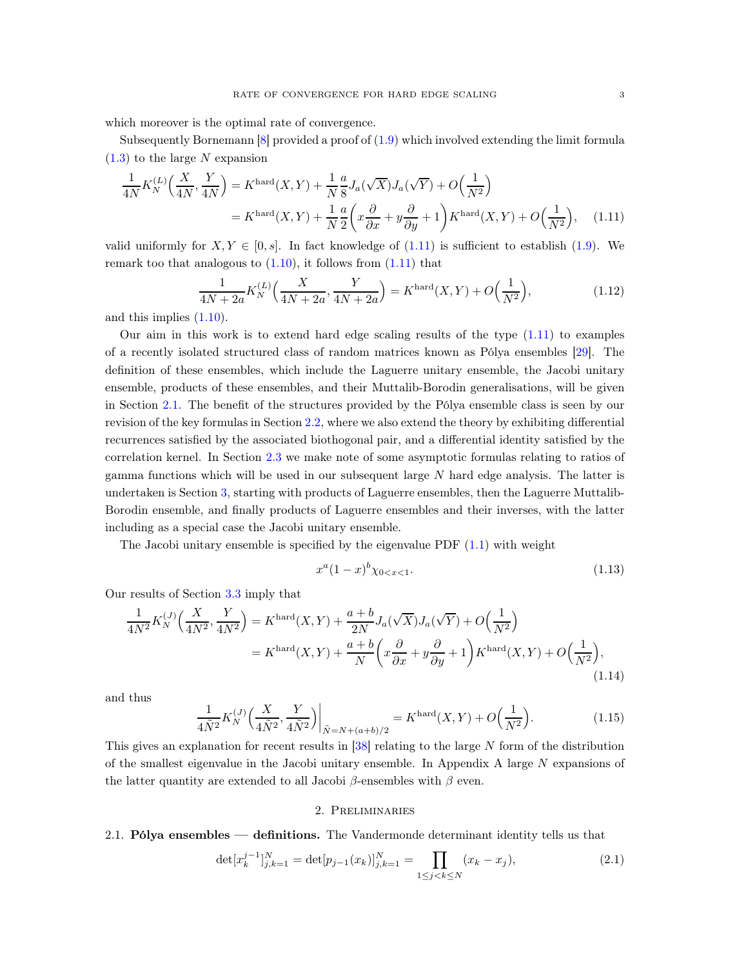which moreover is the optimal rate of convergence.

Subsequently Bornemann [\[8](#page-18-2)] provided a proof of [\(1.9\)](#page-1-3) which involved extending the limit formula  $(1.3)$  to the large N expansion

$$
\frac{1}{4N}K_N^{(L)}\left(\frac{X}{4N},\frac{Y}{4N}\right) = K^{\text{hard}}(X,Y) + \frac{1}{N}\frac{a}{8}J_a(\sqrt{X})J_a(\sqrt{Y}) + O\left(\frac{1}{N^2}\right)
$$
\n
$$
= K^{\text{hard}}(X,Y) + \frac{1}{N}\frac{a}{2}\left(x\frac{\partial}{\partial x} + y\frac{\partial}{\partial y} + 1\right)K^{\text{hard}}(X,Y) + O\left(\frac{1}{N^2}\right),\tag{1.11}
$$

valid uniformly for  $X, Y \in [0, s]$ . In fact knowledge of [\(1.11\)](#page-2-0) is sufficient to establish [\(1.9\)](#page-1-3). We remark too that analogous to  $(1.10)$ , it follows from  $(1.11)$  that

<span id="page-2-0"></span>
$$
\frac{1}{4N+2a}K_N^{(L)}\Big(\frac{X}{4N+2a}, \frac{Y}{4N+2a}\Big) = K^{\text{hard}}(X, Y) + O\Big(\frac{1}{N^2}\Big),\tag{1.12}
$$

and this implies [\(1.10\)](#page-1-5).

Our aim in this work is to extend hard edge scaling results of the type  $(1.11)$  to examples of a recently isolated structured class of random matrices known as Pólya ensembles [\[29\]](#page-19-1). The definition of these ensembles, which include the Laguerre unitary ensemble, the Jacobi unitary ensemble, products of these ensembles, and their Muttalib-Borodin generalisations, will be given in Section [2.1.](#page-2-1) The benefit of the structures provided by the Pólya ensemble class is seen by our revision of the key formulas in Section [2.2,](#page-4-0) where we also extend the theory by exhibiting differential recurrences satisfied by the associated biothogonal pair, and a differential identity satisfied by the correlation kernel. In Section [2.3](#page-6-0) we make note of some asymptotic formulas relating to ratios of gamma functions which will be used in our subsequent large  $N$  hard edge analysis. The latter is undertaken is Section [3,](#page-6-1) starting with products of Laguerre ensembles, then the Laguerre Muttalib-Borodin ensemble, and finally products of Laguerre ensembles and their inverses, with the latter including as a special case the Jacobi unitary ensemble.

The Jacobi unitary ensemble is specified by the eigenvalue PDF [\(1.1\)](#page-0-0) with weight

<span id="page-2-3"></span>
$$
x^a(1-x)^b \chi_{0
$$

Our results of Section [3.3](#page-11-0) imply that

$$
\frac{1}{4N^2} K_N^{(J)}\left(\frac{X}{4N^2}, \frac{Y}{4N^2}\right) = K^{\text{hard}}(X, Y) + \frac{a+b}{2N} J_a(\sqrt{X}) J_a(\sqrt{Y}) + O\left(\frac{1}{N^2}\right)
$$
\n
$$
= K^{\text{hard}}(X, Y) + \frac{a+b}{N} \left(x\frac{\partial}{\partial x} + y\frac{\partial}{\partial y} + 1\right) K^{\text{hard}}(X, Y) + O\left(\frac{1}{N^2}\right),\tag{1.14}
$$

and thus

$$
\frac{1}{4\tilde{N}^2} K_N^{(J)}\Big(\frac{X}{4\tilde{N}^2}, \frac{Y}{4\tilde{N}^2}\Big)\Big|_{\tilde{N}=N+(a+b)/2} = K^{\text{hard}}(X, Y) + O\Big(\frac{1}{N^2}\Big). \tag{1.15}
$$

This gives an explanation for recent results in  $[38]$  relating to the large N form of the distribution of the smallest eigenvalue in the Jacobi unitary ensemble. In Appendix A large  $N$  expansions of the latter quantity are extended to all Jacobi  $\beta$ -ensembles with  $\beta$  even.

## 2. Preliminaries

#### <span id="page-2-1"></span>2.1. Pólya ensembles — definitions. The Vandermonde determinant identity tells us that

<span id="page-2-2"></span>
$$
\det[x_k^{j-1}]_{j,k=1}^N = \det[p_{j-1}(x_k)]_{j,k=1}^N = \prod_{1 \le j < k \le N} (x_k - x_j),\tag{2.1}
$$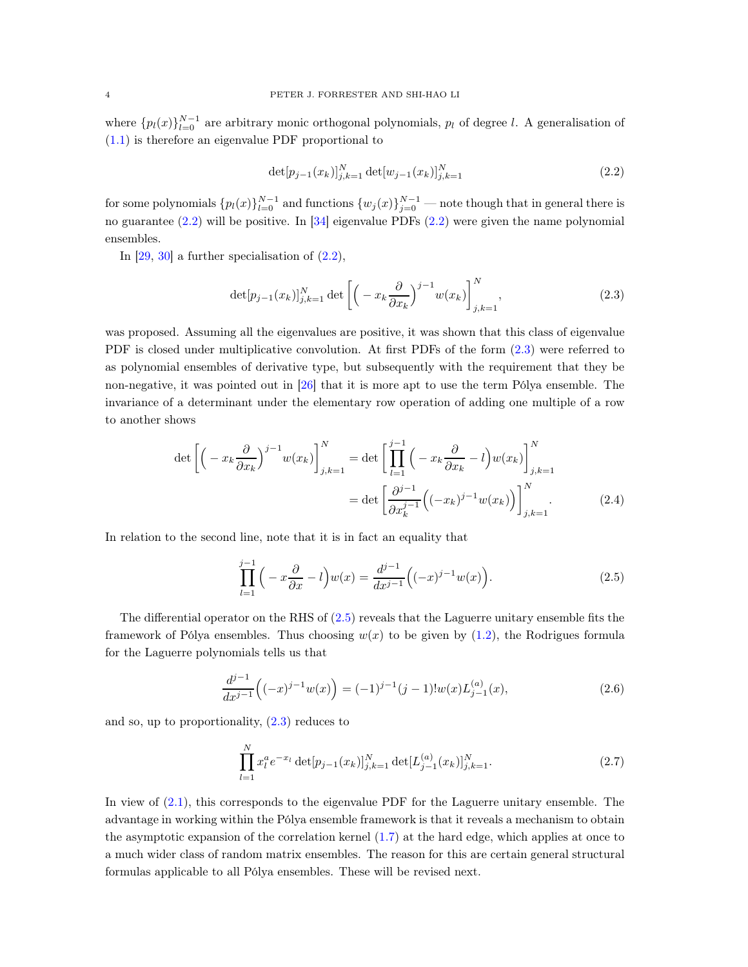where  $\{p_l(x)\}_{l=0}^{N-1}$  are arbitrary monic orthogonal polynomials,  $p_l$  of degree l. A generalisation of [\(1.1\)](#page-0-0) is therefore an eigenvalue PDF proportional to

<span id="page-3-0"></span>
$$
\det[p_{j-1}(x_k)]_{j,k=1}^N \det[w_{j-1}(x_k)]_{j,k=1}^N
$$
\n(2.2)

for some polynomials  $\{p_l(x)\}_{l=0}^{N-1}$  and functions  $\{w_j(x)\}_{j=0}^{N-1}$  — note though that in general there is no guarantee [\(2.2\)](#page-3-0) will be positive. In [\[34\]](#page-19-3) eigenvalue PDFs [\(2.2\)](#page-3-0) were given the name polynomial ensembles.

In  $[29, 30]$  $[29, 30]$  $[29, 30]$  a further specialisation of  $(2.2)$ ,

<span id="page-3-1"></span>
$$
\det[p_{j-1}(x_k)]_{j,k=1}^N \det\left[\left(-x_k \frac{\partial}{\partial x_k}\right)^{j-1} w(x_k)\right]_{j,k=1}^N,\tag{2.3}
$$

was proposed. Assuming all the eigenvalues are positive, it was shown that this class of eigenvalue PDF is closed under multiplicative convolution. At first PDFs of the form [\(2.3\)](#page-3-1) were referred to as polynomial ensembles of derivative type, but subsequently with the requirement that they be non-negative, it was pointed out in [\[26](#page-19-5)] that it is more apt to use the term Pólya ensemble. The invariance of a determinant under the elementary row operation of adding one multiple of a row to another shows

$$
\det \left[ \left( -x_k \frac{\partial}{\partial x_k} \right)^{j-1} w(x_k) \right]_{j,k=1}^N = \det \left[ \prod_{l=1}^{j-1} \left( -x_k \frac{\partial}{\partial x_k} - l \right) w(x_k) \right]_{j,k=1}^N
$$

$$
= \det \left[ \frac{\partial^{j-1}}{\partial x_k^{j-1}} \left( (-x_k)^{j-1} w(x_k) \right) \right]_{j,k=1}^N. \tag{2.4}
$$

In relation to the second line, note that it is in fact an equality that

<span id="page-3-2"></span>
$$
\prod_{l=1}^{j-1} \left( -x \frac{\partial}{\partial x} - l \right) w(x) = \frac{d^{j-1}}{dx^{j-1}} \left( (-x)^{j-1} w(x) \right). \tag{2.5}
$$

The differential operator on the RHS of [\(2.5\)](#page-3-2) reveals that the Laguerre unitary ensemble fits the framework of Pólya ensembles. Thus choosing  $w(x)$  to be given by [\(1.2\)](#page-1-6), the Rodrigues formula for the Laguerre polynomials tells us that

$$
\frac{d^{j-1}}{dx^{j-1}}\left((-x)^{j-1}w(x)\right) = (-1)^{j-1}(j-1)!w(x)L_{j-1}^{(a)}(x),\tag{2.6}
$$

and so, up to proportionality, [\(2.3\)](#page-3-1) reduces to

$$
\prod_{l=1}^{N} x_l^a e^{-x_l} \det[p_{j-1}(x_k)]_{j,k=1}^N \det[L_{j-1}^{(a)}(x_k)]_{j,k=1}^N.
$$
\n(2.7)

In view of [\(2.1\)](#page-2-2), this corresponds to the eigenvalue PDF for the Laguerre unitary ensemble. The advantage in working within the Pólya ensemble framework is that it reveals a mechanism to obtain the asymptotic expansion of the correlation kernel [\(1.7\)](#page-1-1) at the hard edge, which applies at once to a much wider class of random matrix ensembles. The reason for this are certain general structural formulas applicable to all Pólya ensembles. These will be revised next.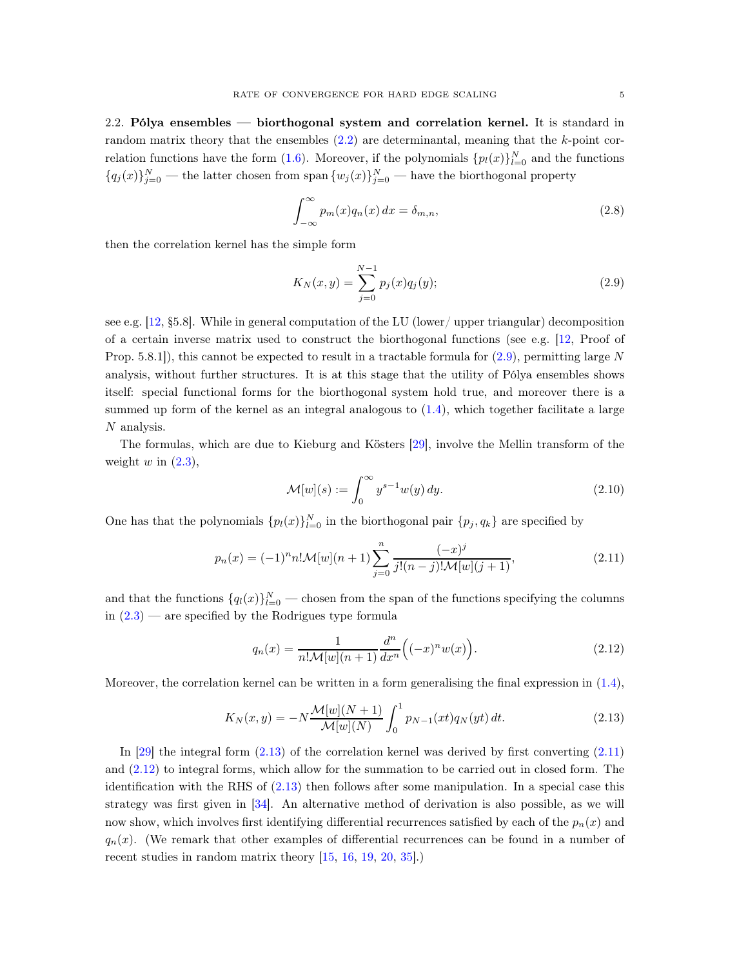<span id="page-4-0"></span>2.2. Pólya ensembles — biorthogonal system and correlation kernel. It is standard in random matrix theory that the ensembles  $(2.2)$  are determinantal, meaning that the k-point cor-relation functions have the form [\(1.6\)](#page-1-7). Moreover, if the polynomials  $\{p_l(x)\}_{l=0}^N$  and the functions  ${q_j(x)}_{j=0}^N$  — the latter chosen from span  ${w_j(x)}_{j=0}^N$  — have the biorthogonal property

<span id="page-4-5"></span>
$$
\int_{-\infty}^{\infty} p_m(x) q_n(x) dx = \delta_{m,n},
$$
\n(2.8)

then the correlation kernel has the simple form

<span id="page-4-1"></span>
$$
K_N(x,y) = \sum_{j=0}^{N-1} p_j(x) q_j(y);
$$
\n(2.9)

see e.g. [\[12,](#page-18-0) §5.8]. While in general computation of the LU (lower/ upper triangular) decomposition of a certain inverse matrix used to construct the biorthogonal functions (see e.g. [\[12,](#page-18-0) Proof of Prop. 5.8.1]), this cannot be expected to result in a tractable formula for  $(2.9)$ , permitting large N analysis, without further structures. It is at this stage that the utility of Pólya ensembles shows itself: special functional forms for the biorthogonal system hold true, and moreover there is a summed up form of the kernel as an integral analogous to  $(1.4)$ , which together facilitate a large N analysis.

The formulas, which are due to Kieburg and Kösters [\[29\]](#page-19-1), involve the Mellin transform of the weight  $w$  in  $(2.3)$ ,

$$
\mathcal{M}[w](s) := \int_0^\infty y^{s-1} w(y) \, dy. \tag{2.10}
$$

One has that the polynomials  $\{p_l(x)\}_{l=0}^N$  in the biorthogonal pair  $\{p_j, q_k\}$  are specified by

<span id="page-4-3"></span>
$$
p_n(x) = (-1)^n n! \mathcal{M}[w](n+1) \sum_{j=0}^n \frac{(-x)^j}{j!(n-j)! \mathcal{M}[w](j+1)},
$$
\n(2.11)

and that the functions  ${q_l(x)}_{l=0}^N$  — chosen from the span of the functions specifying the columns in  $(2.3)$  — are specified by the Rodrigues type formula

<span id="page-4-4"></span>
$$
q_n(x) = \frac{1}{n! \mathcal{M}[w](n+1)} \frac{d^n}{dx^n} \Big( (-x)^n w(x) \Big). \tag{2.12}
$$

Moreover, the correlation kernel can be written in a form generalising the final expression in [\(1.4\)](#page-1-2),

<span id="page-4-2"></span>
$$
K_N(x,y) = -N \frac{\mathcal{M}[w](N+1)}{\mathcal{M}[w](N)} \int_0^1 p_{N-1}(xt) q_N(yt) dt.
$$
 (2.13)

In  $[29]$  the integral form  $(2.13)$  of the correlation kernel was derived by first converting  $(2.11)$ and [\(2.12\)](#page-4-4) to integral forms, which allow for the summation to be carried out in closed form. The identification with the RHS of [\(2.13\)](#page-4-2) then follows after some manipulation. In a special case this strategy was first given in [\[34\]](#page-19-3). An alternative method of derivation is also possible, as we will now show, which involves first identifying differential recurrences satisfied by each of the  $p_n(x)$  and  $q_n(x)$ . (We remark that other examples of differential recurrences can be found in a number of recent studies in random matrix theory  $[15, 16, 19, 20, 35]$  $[15, 16, 19, 20, 35]$  $[15, 16, 19, 20, 35]$  $[15, 16, 19, 20, 35]$  $[15, 16, 19, 20, 35]$  $[15, 16, 19, 20, 35]$  $[15, 16, 19, 20, 35]$  $[15, 16, 19, 20, 35]$ .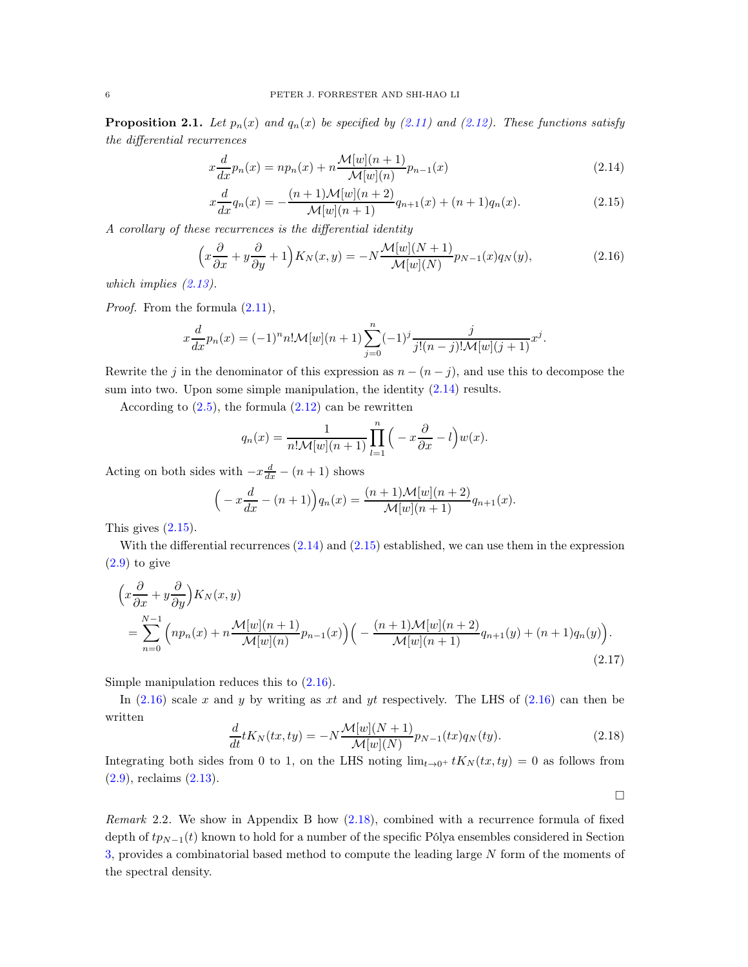**Proposition 2.1.** Let  $p_n(x)$  and  $q_n(x)$  be specified by [\(2.11\)](#page-4-3) and [\(2.12\)](#page-4-4). These functions satisfy the differential recurrences

<span id="page-5-0"></span>
$$
x\frac{d}{dx}p_n(x) = np_n(x) + n\frac{\mathcal{M}[w](n+1)}{\mathcal{M}[w](n)}p_{n-1}(x)
$$
\n(2.14)

<span id="page-5-1"></span>
$$
x\frac{d}{dx}q_n(x) = -\frac{(n+1)\mathcal{M}[w](n+2)}{\mathcal{M}[w](n+1)}q_{n+1}(x) + (n+1)q_n(x).
$$
 (2.15)

A corollary of these recurrences is the differential identity

<span id="page-5-2"></span>
$$
\left(x\frac{\partial}{\partial x} + y\frac{\partial}{\partial y} + 1\right)K_N(x, y) = -N\frac{\mathcal{M}[w](N+1)}{\mathcal{M}[w](N)}p_{N-1}(x)q_N(y),\tag{2.16}
$$

which implies  $(2.13)$ .

Proof. From the formula  $(2.11)$ ,

$$
x\frac{d}{dx}p_n(x) = (-1)^n n! \mathcal{M}[w](n+1) \sum_{j=0}^n (-1)^j \frac{j}{j!(n-j)! \mathcal{M}[w](j+1)} x^j.
$$

Rewrite the j in the denominator of this expression as  $n - (n - j)$ , and use this to decompose the sum into two. Upon some simple manipulation, the identity [\(2.14\)](#page-5-0) results.

According to  $(2.5)$ , the formula  $(2.12)$  can be rewritten

$$
q_n(x) = \frac{1}{n! \mathcal{M}[w](n+1)} \prod_{l=1}^n \left( -x \frac{\partial}{\partial x} - l \right) w(x).
$$

Acting on both sides with  $-x\frac{d}{dx} - (n+1)$  shows

$$
\left(-x\frac{d}{dx} - (n+1)\right)q_n(x) = \frac{(n+1)\mathcal{M}[w](n+2)}{\mathcal{M}[w](n+1)}q_{n+1}(x).
$$

This gives  $(2.15)$ .

With the differential recurrences  $(2.14)$  and  $(2.15)$  established, we can use them in the expression  $(2.9)$  to give

$$
\left(x\frac{\partial}{\partial x} + y\frac{\partial}{\partial y}\right)K_N(x, y)
$$
  
= 
$$
\sum_{n=0}^{N-1} \left( n p_n(x) + n \frac{\mathcal{M}[w](n+1)}{\mathcal{M}[w](n)} p_{n-1}(x) \right) \left( - \frac{(n+1)\mathcal{M}[w](n+2)}{\mathcal{M}[w](n+1)} q_{n+1}(y) + (n+1)q_n(y) \right).
$$
\n(2.17)

Simple manipulation reduces this to [\(2.16\)](#page-5-2).

In  $(2.16)$  scale x and y by writing as xt and yt respectively. The LHS of  $(2.16)$  can then be written

<span id="page-5-3"></span>
$$
\frac{d}{dt}tK_N(tx,ty) = -N\frac{\mathcal{M}[w](N+1)}{\mathcal{M}[w](N)}p_{N-1}(tx)q_N(ty).
$$
\n(2.18)

Integrating both sides from 0 to 1, on the LHS noting  $\lim_{t\to 0^+} tK_N(tx, ty) = 0$  as follows from [\(2.9\)](#page-4-1), reclaims [\(2.13\)](#page-4-2).

 $\Box$ 

Remark 2.2. We show in Appendix B how  $(2.18)$ , combined with a recurrence formula of fixed depth of  $tp_{N-1}(t)$  known to hold for a number of the specific Pólya ensembles considered in Section [3,](#page-6-1) provides a combinatorial based method to compute the leading large N form of the moments of the spectral density.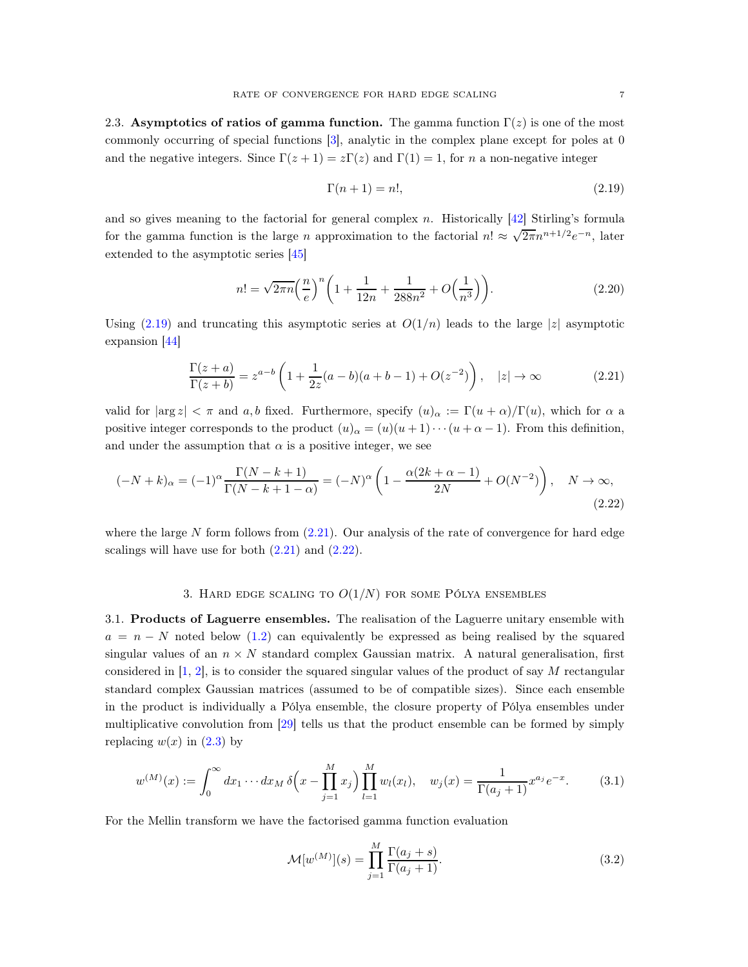<span id="page-6-0"></span>2.3. Asymptotics of ratios of gamma function. The gamma function  $\Gamma(z)$  is one of the most commonly occurring of special functions [\[3\]](#page-18-5), analytic in the complex plane except for poles at 0 and the negative integers. Since  $\Gamma(z+1) = z\Gamma(z)$  and  $\Gamma(1) = 1$ , for n a non-negative integer

<span id="page-6-4"></span><span id="page-6-3"></span><span id="page-6-2"></span>
$$
\Gamma(n+1) = n!,\tag{2.19}
$$

and so gives meaning to the factorial for general complex n. Historically [\[42\]](#page-20-1) Stirling's formula for the gamma function is the large n approximation to the factorial  $n! \approx \sqrt{2\pi} n^{n+1/2} e^{-n}$ , later extended to the asymptotic series [\[45\]](#page-20-2)

$$
n! = \sqrt{2\pi n} \left(\frac{n}{e}\right)^n \left(1 + \frac{1}{12n} + \frac{1}{288n^2} + O\left(\frac{1}{n^3}\right)\right).
$$
 (2.20)

Using [\(2.19\)](#page-6-2) and truncating this asymptotic series at  $O(1/n)$  leads to the large |z| asymptotic expansion [\[44](#page-20-3)]

$$
\frac{\Gamma(z+a)}{\Gamma(z+b)} = z^{a-b} \left( 1 + \frac{1}{2z} (a-b)(a+b-1) + O(z^{-2}) \right), \quad |z| \to \infty
$$
 (2.21)

valid for  $|\arg z| < \pi$  and a, b fixed. Furthermore, specify  $(u)_{\alpha} := \Gamma(u + \alpha)/\Gamma(u)$ , which for  $\alpha$  a positive integer corresponds to the product  $(u)_{\alpha} = (u)(u+1)\cdots(u+\alpha-1)$ . From this definition, and under the assumption that  $\alpha$  is a positive integer, we see

$$
(-N+k)_{\alpha} = (-1)^{\alpha} \frac{\Gamma(N-k+1)}{\Gamma(N-k+1-\alpha)} = (-N)^{\alpha} \left( 1 - \frac{\alpha(2k+\alpha-1)}{2N} + O(N^{-2}) \right), \quad N \to \infty,
$$
\n(2.22)

<span id="page-6-1"></span>where the large  $N$  form follows from  $(2.21)$ . Our analysis of the rate of convergence for hard edge scalings will have use for both  $(2.21)$  and  $(2.22)$ .

#### 3. HARD EDGE SCALING TO  $O(1/N)$  for some Pólya ensembles

<span id="page-6-7"></span>3.1. Products of Laguerre ensembles. The realisation of the Laguerre unitary ensemble with  $a = n - N$  noted below [\(1.2\)](#page-1-6) can equivalently be expressed as being realised by the squared singular values of an  $n \times N$  standard complex Gaussian matrix. A natural generalisation, first considered in  $[1, 2]$  $[1, 2]$ , is to consider the squared singular values of the product of say M rectangular standard complex Gaussian matrices (assumed to be of compatible sizes). Since each ensemble in the product is individually a Pólya ensemble, the closure property of Pólya ensembles under multiplicative convolution from [\[29](#page-19-1)] tells us that the product ensemble can be formed by simply replacing  $w(x)$  in  $(2.3)$  by

<span id="page-6-6"></span>
$$
w^{(M)}(x) := \int_0^\infty dx_1 \cdots dx_M \, \delta\left(x - \prod_{j=1}^M x_j\right) \prod_{l=1}^M w_l(x_l), \quad w_j(x) = \frac{1}{\Gamma(a_j + 1)} x^{a_j} e^{-x}.\tag{3.1}
$$

For the Mellin transform we have the factorised gamma function evaluation

<span id="page-6-5"></span>
$$
\mathcal{M}[w^{(M)}](s) = \prod_{j=1}^{M} \frac{\Gamma(a_j + s)}{\Gamma(a_j + 1)}.
$$
\n(3.2)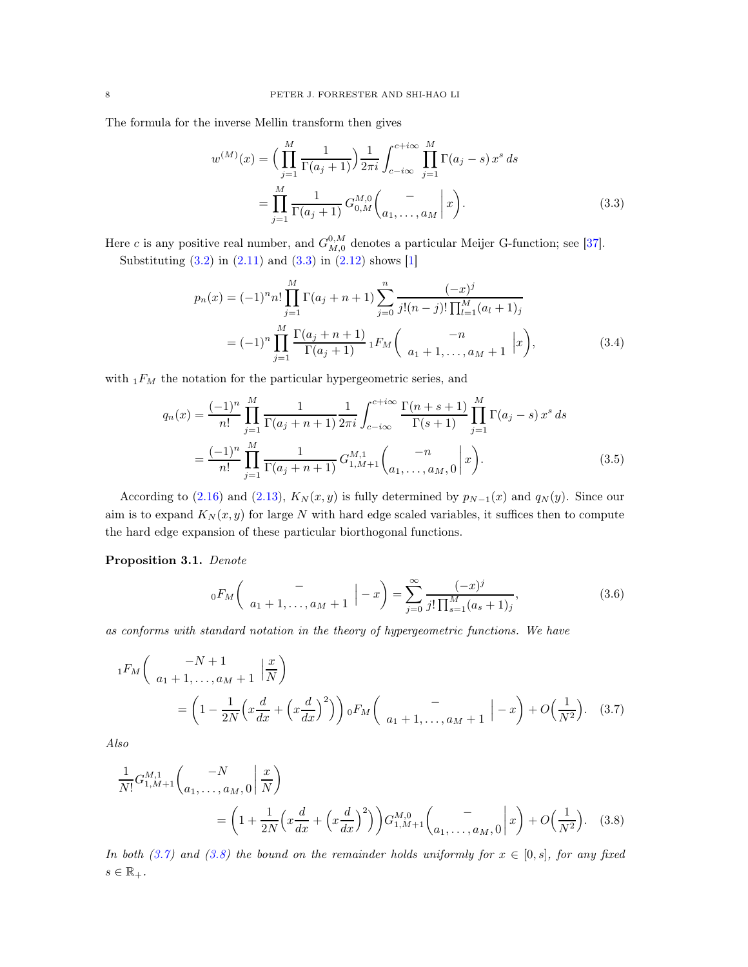The formula for the inverse Mellin transform then gives

<span id="page-7-0"></span>
$$
w^{(M)}(x) = \left(\prod_{j=1}^{M} \frac{1}{\Gamma(a_j+1)}\right) \frac{1}{2\pi i} \int_{c-i\infty}^{c+i\infty} \prod_{j=1}^{M} \Gamma(a_j-s) x^s ds
$$
  
= 
$$
\prod_{j=1}^{M} \frac{1}{\Gamma(a_j+1)} G_{0,M}^{M,0} \binom{-}{a_1, \dots, a_M} x.
$$
 (3.3)

Here c is any positive real number, and  $G_{M,0}^{0,M}$  denotes a particular Meijer G-function; see [\[37](#page-19-9)].

Substituting  $(3.2)$  in  $(2.11)$  and  $(3.3)$  in  $(2.12)$  shows  $[1]$ 

<span id="page-7-3"></span>
$$
p_n(x) = (-1)^n n! \prod_{j=1}^M \Gamma(a_j + n + 1) \sum_{j=0}^n \frac{(-x)^j}{j!(n-j)! \prod_{l=1}^M (a_l + 1)_j}
$$
  
=  $(-1)^n \prod_{j=1}^M \frac{\Gamma(a_j + n + 1)}{\Gamma(a_j + 1)} {}_1F_M \binom{-n}{a_1 + 1, \dots, a_M + 1} |x$ , (3.4)

with  $\displaystyle _{1}F_{M}$  the notation for the particular hypergeometric series, and

$$
q_n(x) = \frac{(-1)^n}{n!} \prod_{j=1}^M \frac{1}{\Gamma(a_j + n + 1)} \frac{1}{2\pi i} \int_{c-i\infty}^{c+i\infty} \frac{\Gamma(n+s+1)}{\Gamma(s+1)} \prod_{j=1}^M \Gamma(a_j - s) x^s ds
$$
  
= 
$$
\frac{(-1)^n}{n!} \prod_{j=1}^M \frac{1}{\Gamma(a_j + n + 1)} G_{1,M+1}^{M,1} \binom{-n}{a_1, \dots, a_M, 0} x^s.
$$
 (3.5)

According to [\(2.16\)](#page-5-2) and [\(2.13\)](#page-4-2),  $K_N(x, y)$  is fully determined by  $p_{N-1}(x)$  and  $q_N(y)$ . Since our aim is to expand  $K_N(x, y)$  for large N with hard edge scaled variables, it suffices then to compute the hard edge expansion of these particular biorthogonal functions.

<span id="page-7-5"></span>Proposition 3.1. Denote

<span id="page-7-4"></span><span id="page-7-2"></span><span id="page-7-1"></span>
$$
{}_{0}F_{M}\left(\begin{array}{c} -\\ a_{1}+1,\ldots,a_{M}+1 \end{array}\Big| -x\right) = \sum_{j=0}^{\infty} \frac{(-x)^{j}}{j!\prod_{s=1}^{M}(a_{s}+1)_{j}},\tag{3.6}
$$

as conforms with standard notation in the theory of hypergeometric functions. We have

$$
{}_{1}F_{M}\left(\begin{array}{c} -N+1\\ a_{1}+1,\ldots,a_{M}+1 \end{array} \Big| \frac{x}{N}\right)
$$
  
=  $\left(1-\frac{1}{2N}\left(x\frac{d}{dx}+\left(x\frac{d}{dx}\right)^{2}\right)\right){}_{0}F_{M}\left(\begin{array}{c} -\\ a_{1}+1,\ldots,a_{M}+1 \end{array} \Big| -x\right)+O\left(\frac{1}{N^{2}}\right).$  (3.7)

Also

$$
\frac{1}{N!}G_{1,M+1}^{M,1}\binom{-N}{a_1,\ldots,a_M,0} \frac{x}{N}
$$
\n
$$
= \left(1 + \frac{1}{2N} \left(x\frac{d}{dx} + \left(x\frac{d}{dx}\right)^2\right)\right) G_{1,M+1}^{M,0}\binom{-}{a_1,\ldots,a_M,0} x + O\left(\frac{1}{N^2}\right). \tag{3.8}
$$

In both [\(3.7\)](#page-7-1) and [\(3.8\)](#page-7-2) the bound on the remainder holds uniformly for  $x \in [0, s]$ , for any fixed  $s \in \mathbb{R}_+$ .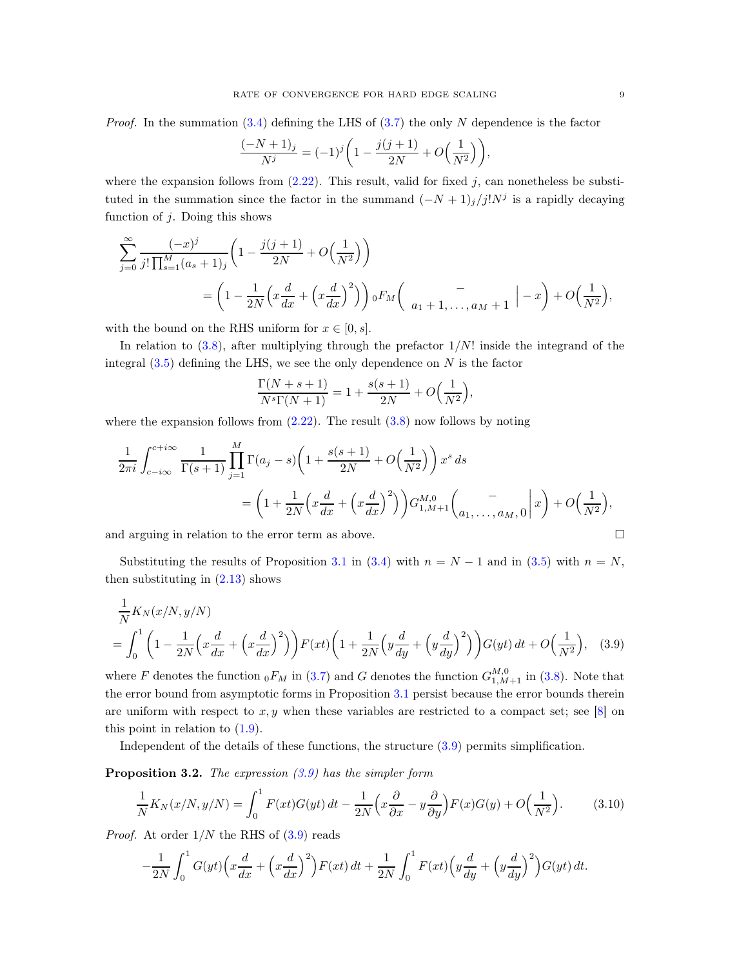*Proof.* In the summation  $(3.4)$  defining the LHS of  $(3.7)$  the only N dependence is the factor

$$
\frac{(-N+1)_j}{N^j} = (-1)^j \left(1 - \frac{j(j+1)}{2N} + O\left(\frac{1}{N^2}\right)\right),
$$

where the expansion follows from  $(2.22)$ . This result, valid for fixed j, can nonetheless be substituted in the summation since the factor in the summand  $(-N+1)_{j}/j!N^{j}$  is a rapidly decaying function of  $j$ . Doing this shows

$$
\sum_{j=0}^{\infty} \frac{(-x)^j}{j!\prod_{s=1}^M (a_s+1)_j} \left(1 - \frac{j(j+1)}{2N} + O\left(\frac{1}{N^2}\right)\right)
$$
  
=  $\left(1 - \frac{1}{2N}\left(x\frac{d}{dx} + \left(x\frac{d}{dx}\right)^2\right)\right) {}_0F_M\left(\begin{array}{c} - \\ a_1+1,\ldots,a_M+1 \end{array} \Big| -x\right) + O\left(\frac{1}{N^2}\right),$ 

with the bound on the RHS uniform for  $x \in [0, s]$ .

In relation to  $(3.8)$ , after multiplying through the prefactor  $1/N!$  inside the integrand of the integral  $(3.5)$  defining the LHS, we see the only dependence on N is the factor

<span id="page-8-0"></span>
$$
\frac{\Gamma(N+s+1)}{N^{s}\Gamma(N+1)} = 1 + \frac{s(s+1)}{2N} + O\left(\frac{1}{N^{2}}\right),
$$

where the expansion follows from  $(2.22)$ . The result  $(3.8)$  now follows by noting

$$
\frac{1}{2\pi i} \int_{c-i\infty}^{c+i\infty} \frac{1}{\Gamma(s+1)} \prod_{j=1}^{M} \Gamma(a_j-s) \left(1 + \frac{s(s+1)}{2N} + O\left(\frac{1}{N^2}\right)\right) x^s ds
$$
  
=  $\left(1 + \frac{1}{2N} \left(x\frac{d}{dx} + \left(x\frac{d}{dx}\right)^2\right)\right) G_{1,M+1}^{M,0} \left(\frac{1}{a_1, \ldots, a_M, 0} \middle| x\right) + O\left(\frac{1}{N^2}\right),$ 

and arguing in relation to the error term as above.

Substituting the results of Proposition [3.1](#page-7-5) in [\(3.4\)](#page-7-3) with  $n = N - 1$  and in [\(3.5\)](#page-7-4) with  $n = N$ , then substituting in  $(2.13)$  shows

$$
\frac{1}{N}K_N(x/N, y/N) = \int_0^1 \left(1 - \frac{1}{2N} \left(x\frac{d}{dx} + \left(x\frac{d}{dx}\right)^2\right)\right) F(xt) \left(1 + \frac{1}{2N} \left(y\frac{d}{dy} + \left(y\frac{d}{dy}\right)^2\right)\right) G(yt) dt + O\left(\frac{1}{N^2}\right),
$$
 (3.9)

where F denotes the function  ${}_0F_M$  in [\(3.7\)](#page-7-1) and G denotes the function  $G_{1,M+1}^{M,0}$  in [\(3.8\)](#page-7-2). Note that the error bound from asymptotic forms in Proposition [3.1](#page-7-5) persist because the error bounds therein are uniform with respect to x, y when these variables are restricted to a compact set; see [\[8](#page-18-2)] on this point in relation to  $(1.9)$ .

Independent of the details of these functions, the structure [\(3.9\)](#page-8-0) permits simplification.

<span id="page-8-2"></span>**Proposition 3.2.** The expression  $(3.9)$  has the simpler form

<span id="page-8-1"></span>
$$
\frac{1}{N}K_N(x/N, y/N) = \int_0^1 F(xt)G(yt) dt - \frac{1}{2N} \left( x \frac{\partial}{\partial x} - y \frac{\partial}{\partial y} \right) F(x)G(y) + O\left(\frac{1}{N^2}\right).
$$
(3.10)

*Proof.* At order  $1/N$  the RHS of  $(3.9)$  reads

$$
-\frac{1}{2N} \int_0^1 G(yt) \left(x\frac{d}{dx} + \left(x\frac{d}{dx}\right)^2\right) F(xt) dt + \frac{1}{2N} \int_0^1 F(xt) \left(y\frac{d}{dy} + \left(y\frac{d}{dy}\right)^2\right) G(yt) dt.
$$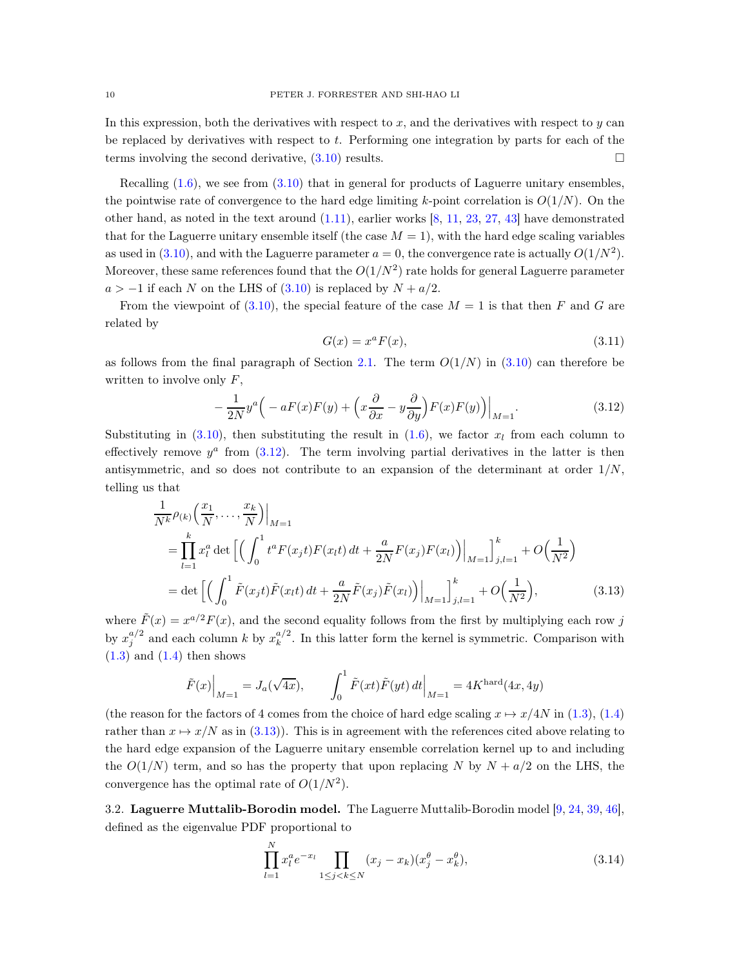In this expression, both the derivatives with respect to  $x$ , and the derivatives with respect to  $y$  can be replaced by derivatives with respect to  $t$ . Performing one integration by parts for each of the terms involving the second derivative,  $(3.10)$  results.

Recalling  $(1.6)$ , we see from  $(3.10)$  that in general for products of Laguerre unitary ensembles, the pointwise rate of convergence to the hard edge limiting k-point correlation is  $O(1/N)$ . On the other hand, as noted in the text around  $(1.11)$ , earlier works  $[8, 11, 23, 27, 43]$  $[8, 11, 23, 27, 43]$  $[8, 11, 23, 27, 43]$  $[8, 11, 23, 27, 43]$  $[8, 11, 23, 27, 43]$  $[8, 11, 23, 27, 43]$  $[8, 11, 23, 27, 43]$  $[8, 11, 23, 27, 43]$  $[8, 11, 23, 27, 43]$  have demonstrated that for the Laguerre unitary ensemble itself (the case  $M = 1$ ), with the hard edge scaling variables as used in [\(3.10\)](#page-8-1), and with the Laguerre parameter  $a = 0$ , the convergence rate is actually  $O(1/N^2)$ . Moreover, these same references found that the  $O(1/N^2)$  rate holds for general Laguerre parameter  $a > -1$  if each N on the LHS of [\(3.10\)](#page-8-1) is replaced by  $N + a/2$ .

From the viewpoint of [\(3.10\)](#page-8-1), the special feature of the case  $M = 1$  is that then F and G are related by

<span id="page-9-3"></span><span id="page-9-1"></span>
$$
G(x) = xa F(x), \qquad (3.11)
$$

as follows from the final paragraph of Section [2.1.](#page-2-1) The term  $O(1/N)$  in [\(3.10\)](#page-8-1) can therefore be written to involve only  $F$ ,

<span id="page-9-0"></span>
$$
-\frac{1}{2N}y^{a}\left(-aF(x)F(y)+\left(x\frac{\partial}{\partial x}-y\frac{\partial}{\partial y}\right)F(x)F(y)\right)\Big|_{M=1}.\tag{3.12}
$$

Substituting in [\(3.10\)](#page-8-1), then substituting the result in [\(1.6\)](#page-1-7), we factor  $x_l$  from each column to effectively remove  $y^a$  from  $(3.12)$ . The term involving partial derivatives in the latter is then antisymmetric, and so does not contribute to an expansion of the determinant at order  $1/N$ , telling us that

$$
\frac{1}{N^k} \rho_{(k)} \left( \frac{x_1}{N}, \dots, \frac{x_k}{N} \right) \Big|_{M=1}
$$
\n
$$
= \prod_{l=1}^k x_l^a \det \left[ \left( \int_0^1 t^a F(x_j t) F(x_l t) dt + \frac{a}{2N} F(x_j) F(x_l) \right) \Big|_{M=1} \right]_{j,l=1}^k + O\left( \frac{1}{N^2} \right)
$$
\n
$$
= \det \left[ \left( \int_0^1 \tilde{F}(x_j t) \tilde{F}(x_l t) dt + \frac{a}{2N} \tilde{F}(x_j) \tilde{F}(x_l) \right) \Big|_{M=1} \right]_{j,l=1}^k + O\left( \frac{1}{N^2} \right), \tag{3.13}
$$

where  $\tilde{F}(x) = x^{a/2} F(x)$ , and the second equality follows from the first by multiplying each row j by  $x_j^{a/2}$  and each column k by  $x_k^{a/2}$  $\frac{u}{k}$ . In this latter form the kernel is symmetric. Comparison with  $(1.3)$  and  $(1.4)$  then shows

$$
\tilde{F}(x)\Big|_{M=1} = J_a(\sqrt{4x}), \qquad \int_0^1 \tilde{F}(xt)\tilde{F}(yt) dt\Big|_{M=1} = 4K^{\text{hard}}(4x, 4y)
$$

(the reason for the factors of 4 comes from the choice of hard edge scaling  $x \mapsto x/4N$  in [\(1.3\)](#page-1-4), [\(1.4\)](#page-1-2) rather than  $x \mapsto x/N$  as in [\(3.13\)](#page-9-1)). This is in agreement with the references cited above relating to the hard edge expansion of the Laguerre unitary ensemble correlation kernel up to and including the  $O(1/N)$  term, and so has the property that upon replacing N by  $N + a/2$  on the LHS, the convergence has the optimal rate of  $O(1/N^2)$ .

<span id="page-9-4"></span>3.2. Laguerre Muttalib-Borodin model. The Laguerre Muttalib-Borodin model [\[9](#page-18-8), [24,](#page-19-12) [39,](#page-19-13) [46\]](#page-20-4), defined as the eigenvalue PDF proportional to

<span id="page-9-2"></span>
$$
\prod_{l=1}^{N} x_l^a e^{-x_l} \prod_{1 \le j < k \le N} (x_j - x_k)(x_j^\theta - x_k^\theta),\tag{3.14}
$$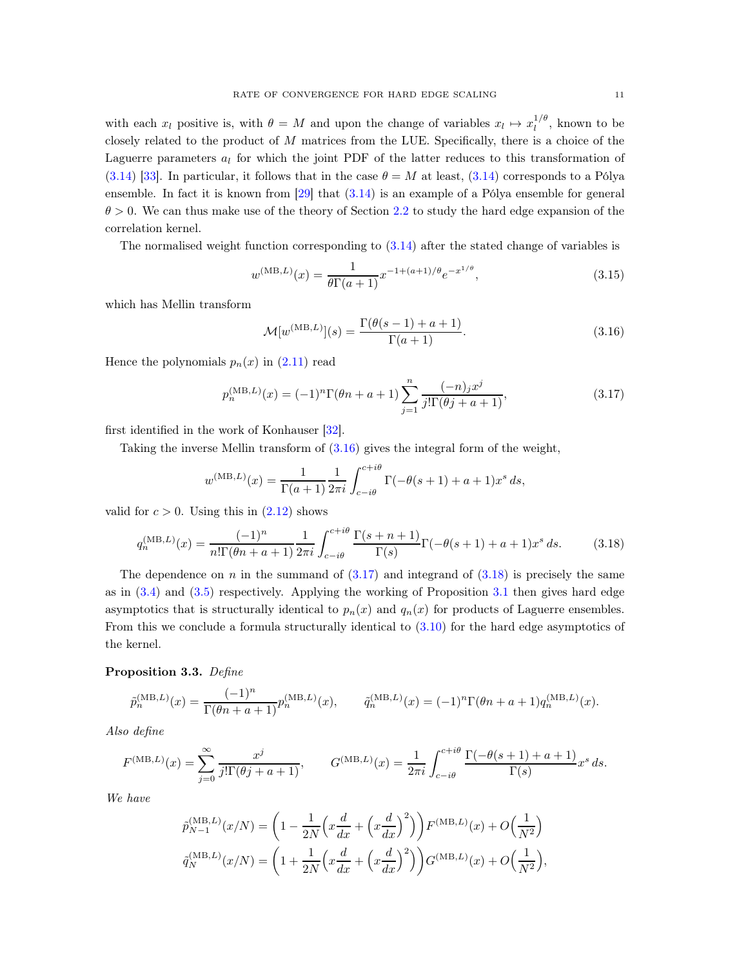with each  $x_l$  positive is, with  $\theta = M$  and upon the change of variables  $x_l \mapsto x_l^{1/\theta}$  $\frac{1}{l}$ , known to be closely related to the product of  $M$  matrices from the LUE. Specifically, there is a choice of the Laguerre parameters  $a_l$  for which the joint PDF of the latter reduces to this transformation of [\(3.14\)](#page-9-2) [\[33\]](#page-19-14). In particular, it follows that in the case  $\theta = M$  at least, [\(3.14\)](#page-9-2) corresponds to a Pólya ensemble. In fact it is known from [\[29](#page-19-1)] that [\(3.14\)](#page-9-2) is an example of a Pólya ensemble for general  $\theta > 0$ . We can thus make use of the theory of Section [2.2](#page-4-0) to study the hard edge expansion of the correlation kernel.

The normalised weight function corresponding to [\(3.14\)](#page-9-2) after the stated change of variables is

$$
w^{(\text{MB},L)}(x) = \frac{1}{\theta \Gamma(a+1)} x^{-1 + (a+1)/\theta} e^{-x^{1/\theta}},
$$
\n(3.15)

which has Mellin transform

<span id="page-10-0"></span>
$$
\mathcal{M}[w^{(\text{MB},L)}](s) = \frac{\Gamma(\theta(s-1) + a + 1)}{\Gamma(a+1)}.\tag{3.16}
$$

Hence the polynomials  $p_n(x)$  in  $(2.11)$  read

<span id="page-10-1"></span>
$$
p_n^{(MB,L)}(x) = (-1)^n \Gamma(\theta n + a + 1) \sum_{j=1}^n \frac{(-n)_j x^j}{j! \Gamma(\theta j + a + 1)},
$$
\n(3.17)

first identified in the work of Konhauser [\[32\]](#page-19-15).

Taking the inverse Mellin transform of [\(3.16\)](#page-10-0) gives the integral form of the weight,

$$
w^{(\text{MB},L)}(x) = \frac{1}{\Gamma(a+1)} \frac{1}{2\pi i} \int_{c-i\theta}^{c+i\theta} \Gamma(-\theta(s+1) + a + 1)x^s \, ds,
$$

valid for  $c > 0$ . Using this in  $(2.12)$  shows

<span id="page-10-2"></span>
$$
q_n^{(MB,L)}(x) = \frac{(-1)^n}{n!\Gamma(\theta n + a + 1)} \frac{1}{2\pi i} \int_{c-i\theta}^{c+i\theta} \frac{\Gamma(s+n+1)}{\Gamma(s)} \Gamma(-\theta(s+1) + a + 1)x^s ds.
$$
 (3.18)

The dependence on n in the summand of  $(3.17)$  and integrand of  $(3.18)$  is precisely the same as in [\(3.4\)](#page-7-3) and [\(3.5\)](#page-7-4) respectively. Applying the working of Proposition [3.1](#page-7-5) then gives hard edge asymptotics that is structurally identical to  $p_n(x)$  and  $q_n(x)$  for products of Laguerre ensembles. From this we conclude a formula structurally identical to [\(3.10\)](#page-8-1) for the hard edge asymptotics of the kernel.

## Proposition 3.3. Define

$$
\tilde{p}_n^{(MB,L)}(x) = \frac{(-1)^n}{\Gamma(\theta n + a + 1)} p_n^{(MB,L)}(x), \qquad \tilde{q}_n^{(MB,L)}(x) = (-1)^n \Gamma(\theta n + a + 1) q_n^{(MB,L)}(x).
$$

Also define

$$
F^{(\text{MB},L)}(x) = \sum_{j=0}^{\infty} \frac{x^j}{j! \Gamma(\theta j + a + 1)}, \qquad G^{(\text{MB},L)}(x) = \frac{1}{2\pi i} \int_{c - i\theta}^{c + i\theta} \frac{\Gamma(-\theta (s + 1) + a + 1)}{\Gamma(s)} x^s \, ds.
$$

We have

$$
\tilde{p}_{N-1}^{(\text{MB},L)}(x/N) = \left(1 - \frac{1}{2N} \left(x\frac{d}{dx} + \left(x\frac{d}{dx}\right)^2\right)\right) F^{(\text{MB},L)}(x) + O\left(\frac{1}{N^2}\right)
$$
\n
$$
\tilde{q}_N^{(\text{MB},L)}(x/N) = \left(1 + \frac{1}{2N} \left(x\frac{d}{dx} + \left(x\frac{d}{dx}\right)^2\right)\right) G^{(\text{MB},L)}(x) + O\left(\frac{1}{N^2}\right),
$$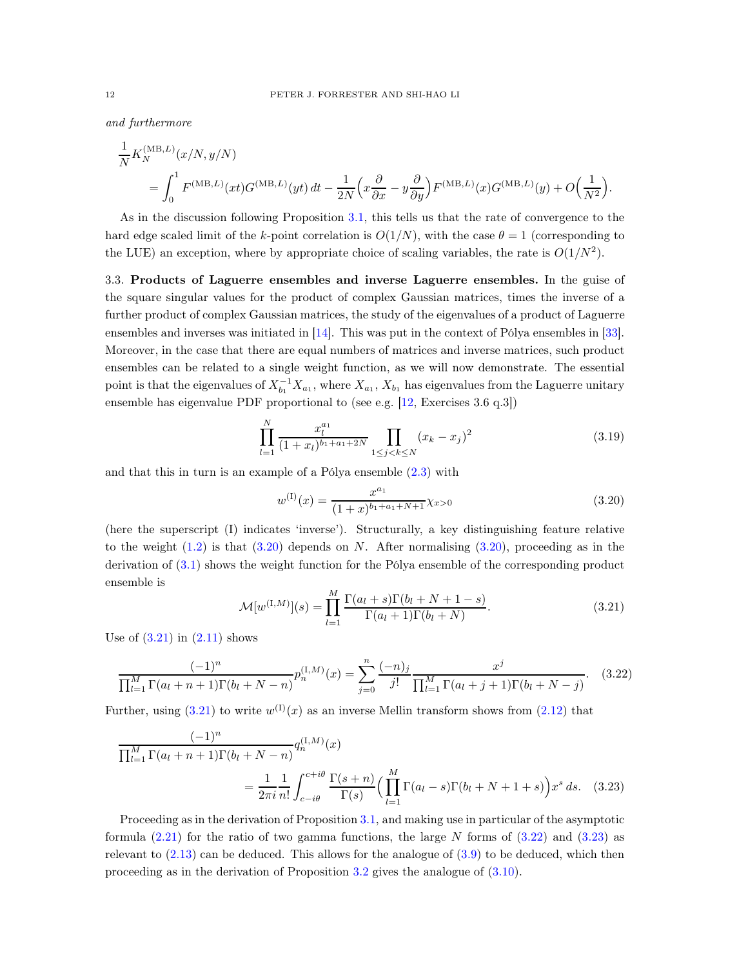and furthermore

$$
\frac{1}{N} K_N^{(\text{MB},L)}(x/N, y/N)
$$
\n
$$
= \int_0^1 F^{(\text{MB},L)}(xt) G^{(\text{MB},L)}(yt) dt - \frac{1}{2N} \left( x \frac{\partial}{\partial x} - y \frac{\partial}{\partial y} \right) F^{(\text{MB},L)}(x) G^{(\text{MB},L)}(y) + O\left(\frac{1}{N^2}\right).
$$

As in the discussion following Proposition [3.1,](#page-7-5) this tells us that the rate of convergence to the hard edge scaled limit of the k-point correlation is  $O(1/N)$ , with the case  $\theta = 1$  (corresponding to the LUE) an exception, where by appropriate choice of scaling variables, the rate is  $O(1/N^2)$ .

<span id="page-11-0"></span>3.3. Products of Laguerre ensembles and inverse Laguerre ensembles. In the guise of the square singular values for the product of complex Gaussian matrices, times the inverse of a further product of complex Gaussian matrices, the study of the eigenvalues of a product of Laguerre ensembles and inverses was initiated in [\[14\]](#page-18-9). This was put in the context of Pólya ensembles in [\[33\]](#page-19-14). Moreover, in the case that there are equal numbers of matrices and inverse matrices, such product ensembles can be related to a single weight function, as we will now demonstrate. The essential point is that the eigenvalues of  $X_{b_1}^{-1}X_{a_1}$ , where  $X_{a_1}$ ,  $X_{b_1}$  has eigenvalues from the Laguerre unitary ensemble has eigenvalue PDF proportional to (see e.g. [\[12,](#page-18-0) Exercises 3.6 q.3])

<span id="page-11-5"></span>
$$
\prod_{l=1}^{N} \frac{x_l^{a_1}}{(1+x_l)^{b_1+a_1+2N}} \prod_{1 \le j < k \le N} (x_k - x_j)^2 \tag{3.19}
$$

and that this in turn is an example of a Pólya ensemble [\(2.3\)](#page-3-1) with

<span id="page-11-3"></span><span id="page-11-1"></span>
$$
w^{(1)}(x) = \frac{x^{a_1}}{(1+x)^{b_1+a_1+N+1}} \chi_{x>0}
$$
\n(3.20)

(here the superscript (I) indicates 'inverse'). Structurally, a key distinguishing feature relative to the weight  $(1.2)$  is that  $(3.20)$  depends on N. After normalising  $(3.20)$ , proceeding as in the derivation of [\(3.1\)](#page-6-6) shows the weight function for the Pólya ensemble of the corresponding product ensemble is

<span id="page-11-4"></span><span id="page-11-2"></span>
$$
\mathcal{M}[w^{(I,M)}](s) = \prod_{l=1}^{M} \frac{\Gamma(a_l+s)\Gamma(b_l+N+1-s)}{\Gamma(a_l+1)\Gamma(b_l+N)}.
$$
\n(3.21)

Use of  $(3.21)$  in  $(2.11)$  shows

$$
\frac{(-1)^n}{\prod_{l=1}^M \Gamma(a_l + n + 1)\Gamma(b_l + N - n)} p_n^{(I,M)}(x) = \sum_{j=0}^n \frac{(-n)_j}{j!} \frac{x^j}{\prod_{l=1}^M \Gamma(a_l + j + 1)\Gamma(b_l + N - j)}.
$$
 (3.22)

Further, using  $(3.21)$  to write  $w^{(1)}(x)$  as an inverse Mellin transform shows from  $(2.12)$  that

$$
\frac{(-1)^n}{\prod_{l=1}^M \Gamma(a_l + n + 1)\Gamma(b_l + N - n)} q_n^{(I,M)}(x)
$$
\n
$$
= \frac{1}{2\pi i} \frac{1}{n!} \int_{c - i\theta}^{c + i\theta} \frac{\Gamma(s + n)}{\Gamma(s)} \Big(\prod_{l=1}^M \Gamma(a_l - s)\Gamma(b_l + N + 1 + s)\Big) x^s \, ds. \tag{3.23}
$$

Proceeding as in the derivation of Proposition [3.1,](#page-7-5) and making use in particular of the asymptotic formula  $(2.21)$  for the ratio of two gamma functions, the large N forms of  $(3.22)$  and  $(3.23)$  as relevant to  $(2.13)$  can be deduced. This allows for the analogue of  $(3.9)$  to be deduced, which then proceeding as in the derivation of Proposition [3.2](#page-8-2) gives the analogue of [\(3.10\)](#page-8-1).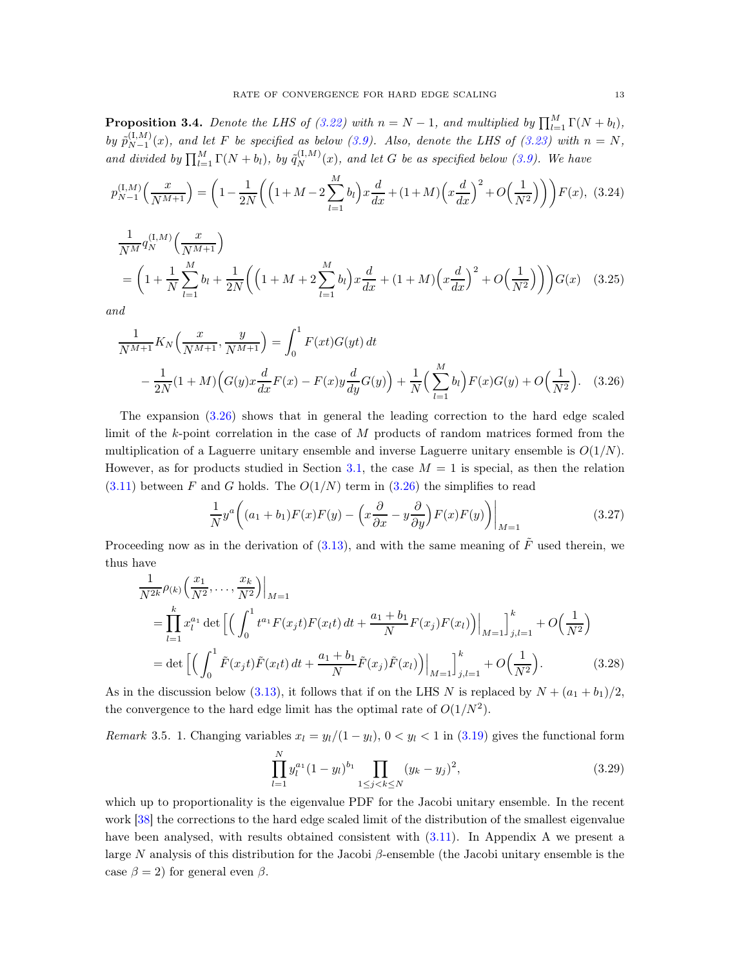<span id="page-12-2"></span>**Proposition 3.4.** Denote the LHS of [\(3.22\)](#page-11-3) with  $n = N - 1$ , and multiplied by  $\prod_{l=1}^{M} \Gamma(N + b_l)$ , by  $\tilde{p}_{N-1}^{(I,M)}$  $N-1 \choose N-1$  (x), and let F be specified as below [\(3.9\)](#page-8-0). Also, denote the LHS of [\(3.23\)](#page-11-4) with  $n = N$ , and divided by  $\prod_{l=1}^{M} \Gamma(N + b_l)$ , by  $\tilde{q}_N^{(I,M)}(x)$ , and let G be as specified below [\(3.9\)](#page-8-0). We have

$$
p_{N-1}^{(I,M)}\left(\frac{x}{N^{M+1}}\right) = \left(1 - \frac{1}{2N}\left(\left(1 + M - 2\sum_{l=1}^{M} b_l\right)x\frac{d}{dx} + (1 + M)\left(x\frac{d}{dx}\right)^2 + O\left(\frac{1}{N^2}\right)\right)\right)F(x), \tag{3.24}
$$

$$
\frac{1}{N^M} q_N^{(I,M)} \left( \frac{x}{N^{M+1}} \right)
$$
\n
$$
= \left( 1 + \frac{1}{N} \sum_{l=1}^M b_l + \frac{1}{2N} \left( \left( 1 + M + 2 \sum_{l=1}^M b_l \right) x \frac{d}{dx} + (1 + M) \left( x \frac{d}{dx} \right)^2 + O\left( \frac{1}{N^2} \right) \right) \right) G(x) \quad (3.25)
$$

and

$$
\frac{1}{N^{M+1}} K_N\left(\frac{x}{N^{M+1}}, \frac{y}{N^{M+1}}\right) = \int_0^1 F(xt)G(yt) dt
$$
  
 
$$
-\frac{1}{2N}(1+M)\Big(G(y)x\frac{d}{dx}F(x) - F(x)y\frac{d}{dy}G(y)\Big) + \frac{1}{N}\Big(\sum_{l=1}^M b_l\Big)F(x)G(y) + O\Big(\frac{1}{N^2}\Big). \quad (3.26)
$$

The expansion [\(3.26\)](#page-12-0) shows that in general the leading correction to the hard edge scaled limit of the k-point correlation in the case of M products of random matrices formed from the multiplication of a Laguerre unitary ensemble and inverse Laguerre unitary ensemble is  $O(1/N)$ . However, as for products studied in Section [3.1,](#page-6-7) the case  $M = 1$  is special, as then the relation  $(3.11)$  between F and G holds. The  $O(1/N)$  term in  $(3.26)$  the simplifies to read

<span id="page-12-0"></span>
$$
\frac{1}{N}y^{a}\left((a_{1}+b_{1})F(x)F(y)-\left(x\frac{\partial}{\partial x}-y\frac{\partial}{\partial y}\right)F(x)F(y)\right)\Big|_{M=1}
$$
\n(3.27)

Proceeding now as in the derivation of [\(3.13\)](#page-9-1), and with the same meaning of  $\tilde{F}$  used therein, we thus have

$$
\frac{1}{N^{2k}}\rho_{(k)}\left(\frac{x_1}{N^2},\ldots,\frac{x_k}{N^2}\right)\Big|_{M=1}
$$
\n
$$
=\prod_{l=1}^k x_l^{a_1} \det\left[\left(\int_0^1 t^{a_1} F(x_j t) F(x_l t) dt + \frac{a_1 + b_1}{N} F(x_j) F(x_l)\right)\Big|_{M=1}\right]_{j,l=1}^k + O\left(\frac{1}{N^2}\right)
$$
\n
$$
= \det\left[\left(\int_0^1 \tilde{F}(x_j t) \tilde{F}(x_l t) dt + \frac{a_1 + b_1}{N} \tilde{F}(x_j) \tilde{F}(x_l)\right)\Big|_{M=1}\right]_{j,l=1}^k + O\left(\frac{1}{N^2}\right). \tag{3.28}
$$

As in the discussion below [\(3.13\)](#page-9-1), it follows that if on the LHS N is replaced by  $N + (a_1 + b_1)/2$ , the convergence to the hard edge limit has the optimal rate of  $O(1/N^2)$ .

*Remark* 3.5. 1. Changing variables  $x_l = y_l/(1 - y_l)$ ,  $0 < y_l < 1$  in [\(3.19\)](#page-11-5) gives the functional form

<span id="page-12-1"></span>
$$
\prod_{l=1}^{N} y_l^{a_1} (1 - y_l)^{b_1} \prod_{1 \le j < k \le N} (y_k - y_j)^2,\tag{3.29}
$$

which up to proportionality is the eigenvalue PDF for the Jacobi unitary ensemble. In the recent work [\[38\]](#page-19-2) the corrections to the hard edge scaled limit of the distribution of the smallest eigenvalue have been analysed, with results obtained consistent with  $(3.11)$ . In Appendix A we present a large N analysis of this distribution for the Jacobi  $\beta$ -ensemble (the Jacobi unitary ensemble is the case  $\beta = 2$ ) for general even  $\beta$ .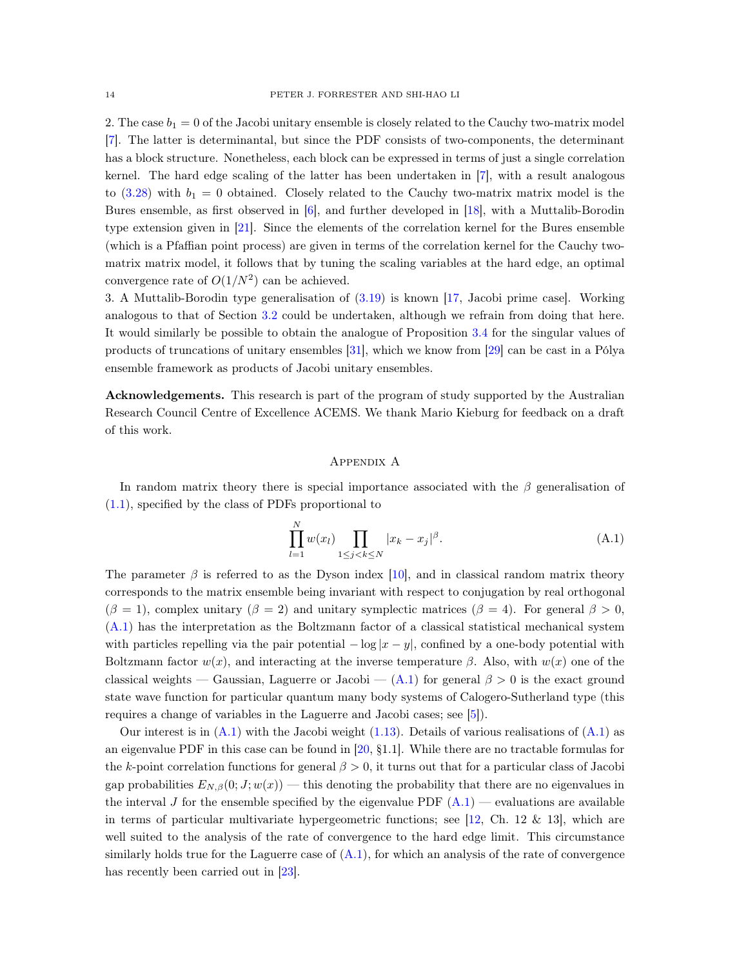2. The case  $b_1 = 0$  of the Jacobi unitary ensemble is closely related to the Cauchy two-matrix model [\[7\]](#page-18-10). The latter is determinantal, but since the PDF consists of two-components, the determinant has a block structure. Nonetheless, each block can be expressed in terms of just a single correlation kernel. The hard edge scaling of the latter has been undertaken in [\[7\]](#page-18-10), with a result analogous to  $(3.28)$  with  $b_1 = 0$  obtained. Closely related to the Cauchy two-matrix matrix model is the Bures ensemble, as first observed in [\[6\]](#page-18-11), and further developed in [\[18\]](#page-19-16), with a Muttalib-Borodin type extension given in [\[21\]](#page-19-17). Since the elements of the correlation kernel for the Bures ensemble (which is a Pfaffian point process) are given in terms of the correlation kernel for the Cauchy twomatrix matrix model, it follows that by tuning the scaling variables at the hard edge, an optimal convergence rate of  $O(1/N^2)$  can be achieved.

3. A Muttalib-Borodin type generalisation of [\(3.19\)](#page-11-5) is known [\[17,](#page-19-18) Jacobi prime case]. Working analogous to that of Section [3.2](#page-9-4) could be undertaken, although we refrain from doing that here. It would similarly be possible to obtain the analogue of Proposition [3.4](#page-12-2) for the singular values of products of truncations of unitary ensembles [\[31](#page-19-19)], which we know from [\[29\]](#page-19-1) can be cast in a Pólya ensemble framework as products of Jacobi unitary ensembles.

Acknowledgements. This research is part of the program of study supported by the Australian Research Council Centre of Excellence ACEMS. We thank Mario Kieburg for feedback on a draft of this work.

## Appendix A

In random matrix theory there is special importance associated with the  $\beta$  generalisation of [\(1.1\)](#page-0-0), specified by the class of PDFs proportional to

$$
\prod_{l=1}^{N} w(x_l) \prod_{1 \le j < k \le N} |x_k - x_j|^\beta. \tag{A.1}
$$

The parameter  $\beta$  is referred to as the Dyson index [\[10\]](#page-18-12), and in classical random matrix theory corresponds to the matrix ensemble being invariant with respect to conjugation by real orthogonal  $(\beta = 1)$ , complex unitary  $(\beta = 2)$  and unitary symplectic matrices  $(\beta = 4)$ . For general  $\beta > 0$ , [\(A.1\)](#page-16-0) has the interpretation as the Boltzmann factor of a classical statistical mechanical system with particles repelling via the pair potential  $-\log|x-y|$ , confined by a one-body potential with Boltzmann factor  $w(x)$ , and interacting at the inverse temperature  $\beta$ . Also, with  $w(x)$  one of the classical weights — Gaussian, Laguerre or Jacobi —  $(A.1)$  for general  $\beta > 0$  is the exact ground state wave function for particular quantum many body systems of Calogero-Sutherland type (this requires a change of variables in the Laguerre and Jacobi cases; see [\[5](#page-18-13)]).

Our interest is in  $(A.1)$  with the Jacobi weight  $(1.13)$ . Details of various realisations of  $(A.1)$  as an eigenvalue PDF in this case can be found in [\[20,](#page-19-7) §1.1]. While there are no tractable formulas for the k-point correlation functions for general  $\beta > 0$ , it turns out that for a particular class of Jacobi gap probabilities  $E_{N,\beta}(0; J; w(x))$  — this denoting the probability that there are no eigenvalues in the interval J for the ensemble specified by the eigenvalue PDF  $(A.1)$  — evaluations are available in terms of particular multivariate hypergeometric functions; see [\[12,](#page-18-0) Ch. 12 & 13], which are well suited to the analysis of the rate of convergence to the hard edge limit. This circumstance similarly holds true for the Laguerre case of  $(A.1)$ , for which an analysis of the rate of convergence has recently been carried out in [\[23](#page-19-10)].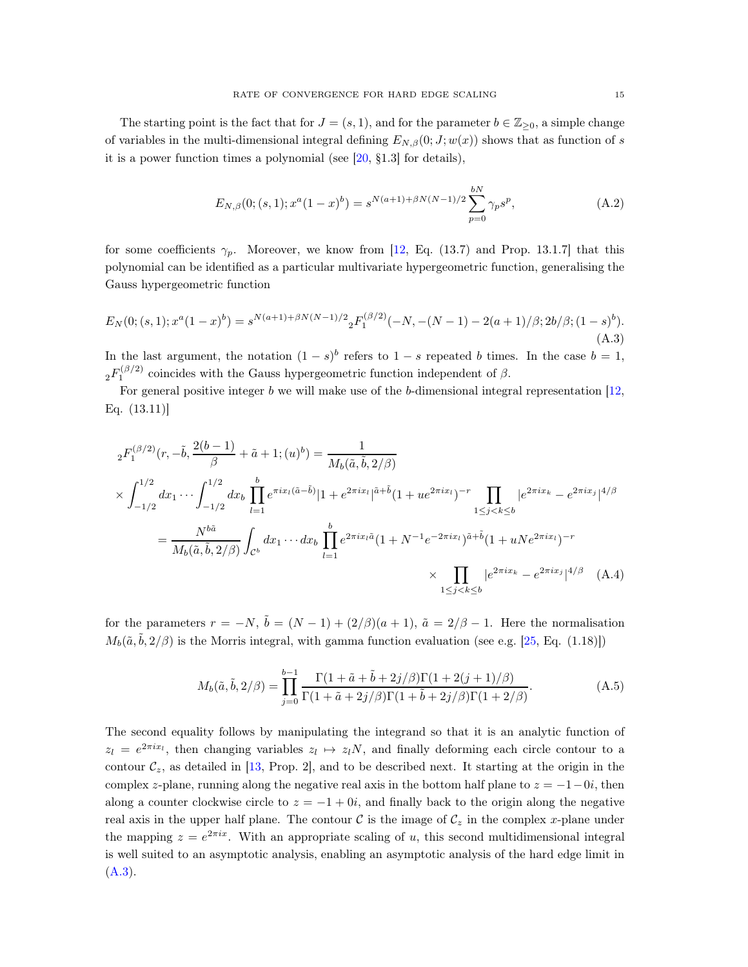The starting point is the fact that for  $J = (s, 1)$ , and for the parameter  $b \in \mathbb{Z}_{\geq 0}$ , a simple change of variables in the multi-dimensional integral defining  $E_{N,\beta}(0;J;w(x))$  shows that as function of s it is a power function times a polynomial (see [\[20,](#page-19-7) §1.3] for details),

$$
E_{N,\beta}(0;(s,1);x^a(1-x)^b) = s^{N(a+1)+\beta N(N-1)/2} \sum_{p=0}^{bN} \gamma_p s^p,
$$
\n(A.2)

for some coefficients  $\gamma_p$ . Moreover, we know from [\[12](#page-18-0), Eq. (13.7) and Prop. 13.1.7] that this polynomial can be identified as a particular multivariate hypergeometric function, generalising the Gauss hypergeometric function

$$
E_N(0;(s,1);x^a(1-x)^b) = s^{N(a+1)+\beta N(N-1)/2} {}_2F_1^{(\beta/2)}(-N,-(N-1)-2(a+1)/\beta;2b/\beta;(1-s)^b).
$$
\n(A.3)

In the last argument, the notation  $(1-s)^b$  refers to  $1-s$  repeated b times. In the case  $b=1$ ,  ${}_{2}F_{1}^{(\beta/2)}$  coincides with the Gauss hypergeometric function independent of  $\beta$ .

For general positive integer b we will make use of the b-dimensional integral representation  $[12]$ , Eq. (13.11)]

$$
{}_{2}F_{1}^{(\beta/2)}(r, -\tilde{b}, \frac{2(b-1)}{\beta} + \tilde{a} + 1; (u)^{b}) = \frac{1}{M_{b}(\tilde{a}, \tilde{b}, 2/\beta)}
$$
  
\n
$$
\times \int_{-1/2}^{1/2} dx_{1} \cdots \int_{-1/2}^{1/2} dx_{b} \prod_{l=1}^{b} e^{\pi i x_{l}(\tilde{a} - \tilde{b})} |1 + e^{2\pi i x_{l}}|^{\tilde{a} + \tilde{b}} (1 + u e^{2\pi i x_{l}})^{-r} \prod_{1 \leq j < k \leq b} |e^{2\pi i x_{k}} - e^{2\pi i x_{j}}|^{4/\beta}
$$
  
\n
$$
= \frac{N^{b\tilde{a}}}{M_{b}(\tilde{a}, \tilde{b}, 2/\beta)} \int_{\mathcal{C}^{b}} dx_{1} \cdots dx_{b} \prod_{l=1}^{b} e^{2\pi i x_{l}\tilde{a}} (1 + N^{-1}e^{-2\pi i x_{l}})^{\tilde{a} + \tilde{b}} (1 + uNe^{2\pi i x_{l}})^{-r}
$$
  
\n
$$
\times \prod_{1 \leq j < k \leq b} |e^{2\pi i x_{k}} - e^{2\pi i x_{j}}|^{4/\beta} \quad \text{(A.4)}
$$

for the parameters  $r = -N$ ,  $\tilde{b} = (N-1) + (2/\beta)(a+1)$ ,  $\tilde{a} = 2/\beta - 1$ . Here the normalisation  $M_b(\tilde{a}, \tilde{b}, 2/\beta)$  is the Morris integral, with gamma function evaluation (see e.g. [\[25,](#page-19-20) Eq. (1.18)])

$$
M_b(\tilde{a}, \tilde{b}, 2/\beta) = \prod_{j=0}^{b-1} \frac{\Gamma(1 + \tilde{a} + \tilde{b} + 2j/\beta)\Gamma(1 + 2(j+1)/\beta)}{\Gamma(1 + \tilde{a} + 2j/\beta)\Gamma(1 + \tilde{b} + 2j/\beta)\Gamma(1 + 2/\beta)}.
$$
(A.5)

The second equality follows by manipulating the integrand so that it is an analytic function of  $z_l = e^{2\pi i x_l}$ , then changing variables  $z_l \mapsto z_l N$ , and finally deforming each circle contour to a contour  $\mathcal{C}_z$ , as detailed in [\[13,](#page-18-14) Prop. 2], and to be described next. It starting at the origin in the complex z-plane, running along the negative real axis in the bottom half plane to  $z = -1-0i$ , then along a counter clockwise circle to  $z = -1 + 0i$ , and finally back to the origin along the negative real axis in the upper half plane. The contour  $\mathcal C$  is the image of  $\mathcal C_z$  in the complex x-plane under the mapping  $z = e^{2\pi ix}$ . With an appropriate scaling of u, this second multidimensional integral is well suited to an asymptotic analysis, enabling an asymptotic analysis of the hard edge limit in  $(A.3).$  $(A.3).$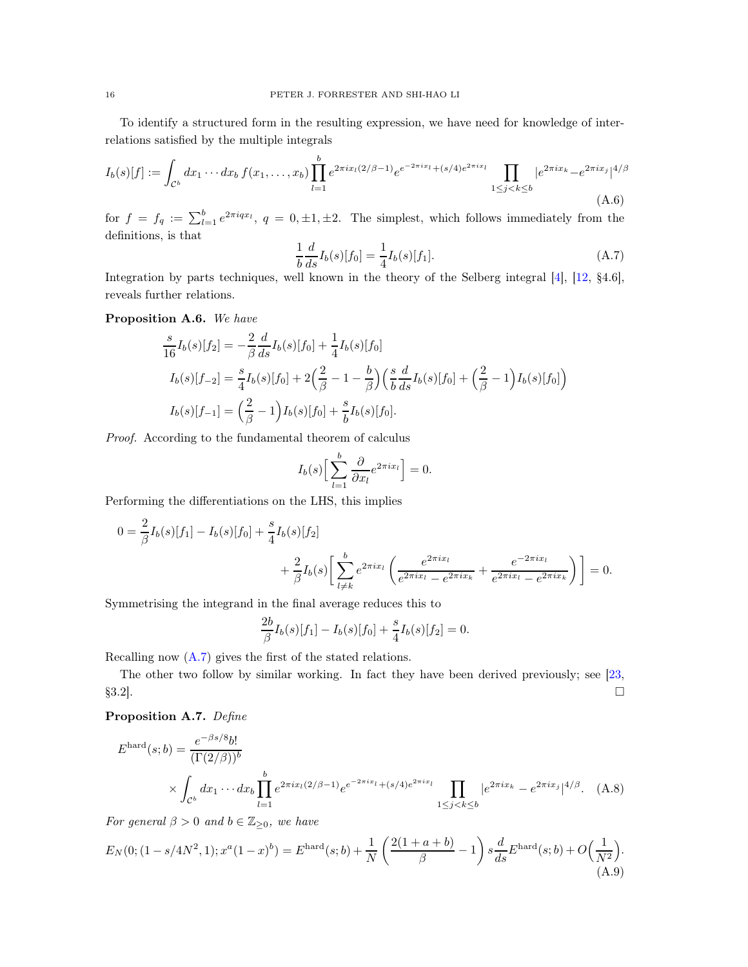To identify a structured form in the resulting expression, we have need for knowledge of interrelations satisfied by the multiple integrals

$$
I_b(s)[f] := \int_{\mathcal{C}^b} dx_1 \cdots dx_b f(x_1, \dots, x_b) \prod_{l=1}^b e^{2\pi i x_l (2/\beta - 1)} e^{e^{-2\pi i x_l} + (s/4)e^{2\pi i x_l}} \prod_{1 \le j < k \le b} |e^{2\pi i x_k} - e^{2\pi i x_j}|^{4/\beta} \tag{A.6}
$$

for  $f = f_q := \sum_{l=1}^b e^{2\pi i q x_l}$ ,  $q = 0, \pm 1, \pm 2$ . The simplest, which follows immediately from the definitions, is that

$$
\frac{1}{b}\frac{d}{ds}I_b(s)[f_0] = \frac{1}{4}I_b(s)[f_1].
$$
\n(A.7)

Integration by parts techniques, well known in the theory of the Selberg integral [\[4](#page-18-15)], [\[12,](#page-18-0) §4.6], reveals further relations.

<span id="page-15-0"></span>Proposition A.6. We have

$$
\frac{s}{16}I_b(s)[f_2] = -\frac{2}{\beta}\frac{d}{ds}I_b(s)[f_0] + \frac{1}{4}I_b(s)[f_0]
$$
\n
$$
I_b(s)[f_{-2}] = \frac{s}{4}I_b(s)[f_0] + 2\left(\frac{2}{\beta} - 1 - \frac{b}{\beta}\right)\left(\frac{s}{b}\frac{d}{ds}I_b(s)[f_0] + \left(\frac{2}{\beta} - 1\right)I_b(s)[f_0]\right)
$$
\n
$$
I_b(s)[f_{-1}] = \left(\frac{2}{\beta} - 1\right)I_b(s)[f_0] + \frac{s}{b}I_b(s)[f_0].
$$

Proof. According to the fundamental theorem of calculus

$$
I_b(s)\Big[\sum_{l=1}^b \frac{\partial}{\partial x_l} e^{2\pi i x_l}\Big] = 0.
$$

Performing the differentiations on the LHS, this implies

$$
0 = \frac{2}{\beta} I_b(s)[f_1] - I_b(s)[f_0] + \frac{s}{4} I_b(s)[f_2] + \frac{2}{\beta} I_b(s) \left[ \sum_{l \neq k}^{b} e^{2\pi i x_l} \left( \frac{e^{2\pi i x_l}}{e^{2\pi i x_l} - e^{2\pi i x_k}} + \frac{e^{-2\pi i x_l}}{e^{2\pi i x_l} - e^{2\pi i x_k}} \right) \right] = 0.
$$

Symmetrising the integrand in the final average reduces this to

$$
\frac{2b}{\beta}I_b(s)[f_1] - I_b(s)[f_0] + \frac{s}{4}I_b(s)[f_2] = 0.
$$

Recalling now [\(A.7\)](#page-17-1) gives the first of the stated relations.

The other two follow by similar working. In fact they have been derived previously; see [\[23,](#page-19-10)  $\S3.2$ ].

# Proposition A.7. Define

$$
E^{\text{hard}}(s;b) = \frac{e^{-\beta s/8}b!}{(\Gamma(2/\beta))^b}
$$
  
 
$$
\times \int_{C^b} dx_1 \cdots dx_b \prod_{l=1}^b e^{2\pi ix_l(2/\beta - 1)} e^{-2\pi ix_l} + (s/4)e^{2\pi ix_l} \prod_{1 \le j < k \le b} |e^{2\pi ix_k} - e^{2\pi ix_j}|^{4/\beta}. \quad (A.8)
$$

For general  $\beta > 0$  and  $b \in \mathbb{Z}_{\geq 0}$ , we have

$$
E_N(0; (1 - s/4N^2, 1); x^a(1 - x)^b) = E^{\text{hard}}(s; b) + \frac{1}{N} \left( \frac{2(1 + a + b)}{\beta} - 1 \right) s \frac{d}{ds} E^{\text{hard}}(s; b) + O\left(\frac{1}{N^2}\right). \tag{A.9}
$$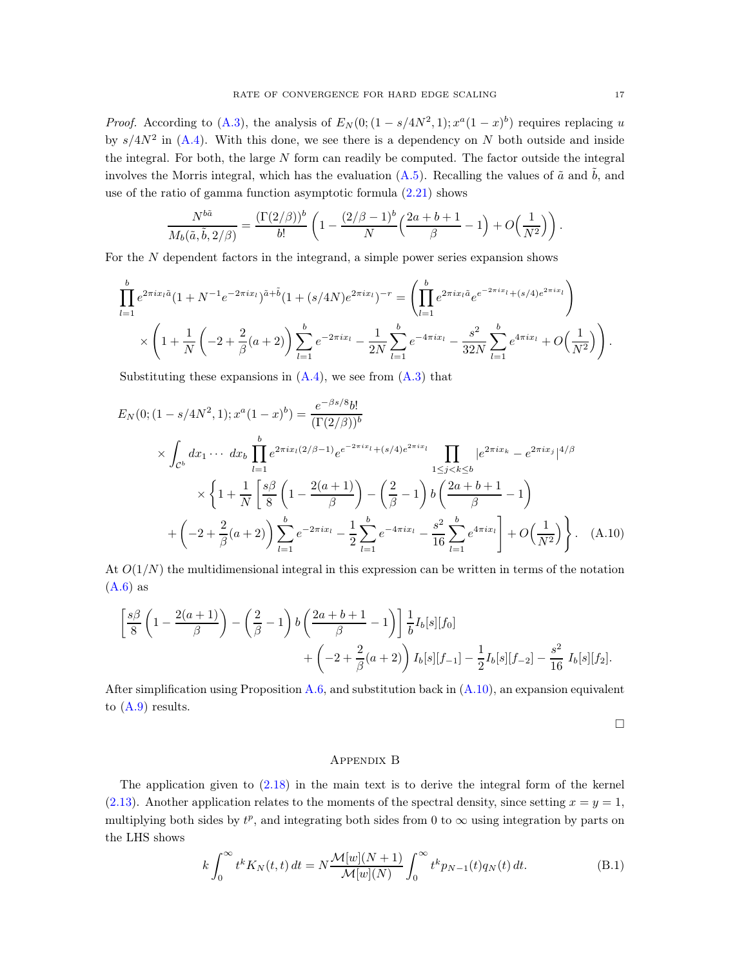*Proof.* According to [\(A.3\)](#page-17-0), the analysis of  $E_N(0;(1-s/4N^2,1); x^a(1-x)^b)$  requires replacing u by  $s/4N^2$  in [\(A.4\)](#page-17-2). With this done, we see there is a dependency on N both outside and inside the integral. For both, the large  $N$  form can readily be computed. The factor outside the integral involves the Morris integral, which has the evaluation [\(A.5\)](#page-17-3). Recalling the values of  $\tilde{a}$  and  $\tilde{b}$ , and use of the ratio of gamma function asymptotic formula [\(2.21\)](#page-6-3) shows

$$
\frac{N^{b\tilde{a}}}{M_b(\tilde{a},\tilde{b},2/\beta)} = \frac{\left(\Gamma(2/\beta)\right)^b}{b!} \left(1 - \frac{(2/\beta - 1)^b}{N} \left(\frac{2a + b + 1}{\beta} - 1\right) + O\left(\frac{1}{N^2}\right)\right).
$$

For the N dependent factors in the integrand, a simple power series expansion shows

$$
\prod_{l=1}^{b} e^{2\pi ix_l \tilde{a}} (1 + N^{-1} e^{-2\pi ix_l})^{\tilde{a} + \tilde{b}} (1 + (s/4N)e^{2\pi ix_l})^{-r} = \left( \prod_{l=1}^{b} e^{2\pi ix_l \tilde{a}} e^{e^{-2\pi ix_l} + (s/4)e^{2\pi ix_l}} \right)
$$

$$
\times \left( 1 + \frac{1}{N} \left( -2 + \frac{2}{\beta} (a+2) \right) \sum_{l=1}^{b} e^{-2\pi ix_l} - \frac{1}{2N} \sum_{l=1}^{b} e^{-4\pi ix_l} - \frac{s^2}{32N} \sum_{l=1}^{b} e^{4\pi ix_l} + O\left(\frac{1}{N^2}\right) \right).
$$

Substituting these expansions in  $(A.4)$ , we see from  $(A.3)$  that

$$
E_N(0; (1 - s/4N^2, 1); x^a (1 - x)^b) = \frac{e^{-\beta s/8}b!}{(\Gamma(2/\beta))^b}
$$
  
\n
$$
\times \int_{C^b} dx_1 \cdots dx_b \prod_{l=1}^b e^{2\pi i x_l (2/\beta - 1)} e^{-2\pi i x_l} + (s/4)e^{2\pi i x_l} \prod_{1 \le j < k \le b} |e^{2\pi i x_k} - e^{2\pi i x_j}|^{4/\beta}
$$
  
\n
$$
\times \left\{ 1 + \frac{1}{N} \left[ \frac{s\beta}{8} \left( 1 - \frac{2(a+1)}{\beta} \right) - \left( \frac{2}{\beta} - 1 \right) b \left( \frac{2a+b+1}{\beta} - 1 \right) \right. \right.
$$
  
\n
$$
+ \left( -2 + \frac{2}{\beta} (a+2) \right) \sum_{l=1}^b e^{-2\pi i x_l} - \frac{1}{2} \sum_{l=1}^b e^{-4\pi i x_l} - \frac{s^2}{16} \sum_{l=1}^b e^{4\pi i x_l} \right] + O\left(\frac{1}{N^2}\right) \right\}.
$$
 (A.10)

At  $O(1/N)$  the multidimensional integral in this expression can be written in terms of the notation  $(A.6)$  as

$$
\left[\frac{s\beta}{8}\left(1-\frac{2(a+1)}{\beta}\right)-\left(\frac{2}{\beta}-1\right)b\left(\frac{2a+b+1}{\beta}-1\right)\right]\frac{1}{b}I_b[s][f_0] +\left(-2+\frac{2}{\beta}(a+2)\right)I_b[s][f_{-1}]-\frac{1}{2}I_b[s][f_{-2}]-\frac{s^2}{16}I_b[s][f_2].
$$

After simplification using Proposition [A.6,](#page-15-0) and substitution back in  $(A.10)$ , an expansion equivalent to [\(A.9\)](#page-18-17) results.

 $\Box$ 

## Appendix B

The application given to [\(2.18\)](#page-5-3) in the main text is to derive the integral form of the kernel [\(2.13\)](#page-4-2). Another application relates to the moments of the spectral density, since setting  $x = y = 1$ , multiplying both sides by  $t^p$ , and integrating both sides from 0 to  $\infty$  using integration by parts on the LHS shows

<span id="page-16-0"></span>
$$
k \int_0^\infty t^k K_N(t, t) dt = N \frac{\mathcal{M}[w](N+1)}{\mathcal{M}[w](N)} \int_0^\infty t^k p_{N-1}(t) q_N(t) dt.
$$
 (B.1)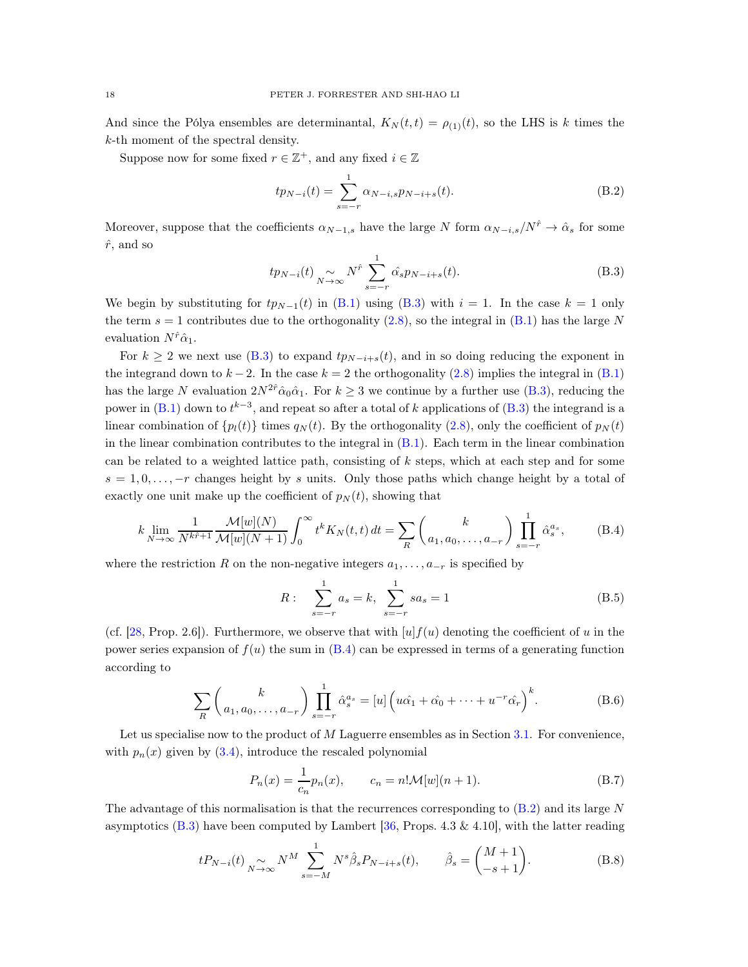And since the Pólya ensembles are determinantal,  $K_N(t, t) = \rho_{(1)}(t)$ , so the LHS is k times the k-th moment of the spectral density.

Suppose now for some fixed  $r\in\mathbb{Z}^+ ,$  and any fixed  $i\in\mathbb{Z}$ 

<span id="page-17-5"></span>
$$
tp_{N-i}(t) = \sum_{s=-r}^{1} \alpha_{N-i,s} p_{N-i+s}(t).
$$
 (B.2)

Moreover, suppose that the coefficients  $\alpha_{N-1,s}$  have the large N form  $\alpha_{N-i,s}/N^{\hat{r}} \to \hat{\alpha}_s$  for some  $\hat{r}$ , and so

<span id="page-17-0"></span>
$$
tp_{N-i}(t) \underset{N \to \infty}{\sim} N^{\hat{r}} \sum_{s=-r}^{1} \hat{\alpha_s} p_{N-i+s}(t). \tag{B.3}
$$

We begin by substituting for  $tp_{N-1}(t)$  in [\(B.1\)](#page-16-0) using [\(B.3\)](#page-17-0) with  $i = 1$ . In the case  $k = 1$  only the term  $s = 1$  contributes due to the orthogonality [\(2.8\)](#page-4-5), so the integral in [\(B.1\)](#page-16-0) has the large N evaluation  $N^{\hat{r}}\hat{\alpha}_1$ .

For  $k \ge 2$  we next use [\(B.3\)](#page-17-0) to expand  $tp_{N-i+s}(t)$ , and in so doing reducing the exponent in the integrand down to  $k-2$ . In the case  $k = 2$  the orthogonality [\(2.8\)](#page-4-5) implies the integral in [\(B.1\)](#page-16-0) has the large N evaluation  $2N^{2\hat{r}}\hat{\alpha}_0\hat{\alpha}_1$ . For  $k \geq 3$  we continue by a further use [\(B.3\)](#page-17-0), reducing the power in  $(B.1)$  down to  $t^{k-3}$ , and repeat so after a total of k applications of  $(B.3)$  the integrand is a linear combination of  $\{p_l(t)\}\$ times  $q_N(t)$ . By the orthogonality [\(2.8\)](#page-4-5), only the coefficient of  $p_N(t)$ in the linear combination contributes to the integral in [\(B.1\)](#page-16-0). Each term in the linear combination can be related to a weighted lattice path, consisting of k steps, which at each step and for some  $s = 1, 0, \ldots, -r$  changes height by s units. Only those paths which change height by a total of exactly one unit make up the coefficient of  $p<sub>N</sub>(t)$ , showing that

<span id="page-17-2"></span>
$$
k \lim_{N \to \infty} \frac{1}{N^{k\hat{r}+1}} \frac{\mathcal{M}[w](N)}{\mathcal{M}[w](N+1)} \int_0^\infty t^k K_N(t, t) dt = \sum_R \binom{k}{a_1, a_0, \dots, a_{-r}} \prod_{s=-r}^1 \hat{\alpha}_s^{a_s},
$$
(B.4)

where the restriction R on the non-negative integers  $a_1, \ldots, a_{-r}$  is specified by

<span id="page-17-3"></span>
$$
R: \sum_{s=-r}^{1} a_s = k, \sum_{s=-r}^{1} s a_s = 1
$$
 (B.5)

(cf. [\[28](#page-19-21), Prop. 2.6]). Furthermore, we observe that with  $[u]f(u)$  denoting the coefficient of u in the power series expansion of  $f(u)$  the sum in  $(B.4)$  can be expressed in terms of a generating function according to

<span id="page-17-4"></span>
$$
\sum_{R} \binom{k}{a_1, a_0, \dots, a_{-r}} \prod_{s=-r}^{1} \hat{\alpha}_s^{a_s} = [u] \left( u\hat{\alpha}_1 + \hat{\alpha}_0 + \dots + u^{-r} \hat{\alpha}_r \right)^k.
$$
 (B.6)

Let us specialise now to the product of M Laguerre ensembles as in Section [3.1.](#page-6-7) For convenience, with  $p_n(x)$  given by  $(3.4)$ , introduce the rescaled polynomial

<span id="page-17-1"></span>
$$
P_n(x) = \frac{1}{c_n} p_n(x), \qquad c_n = n! \mathcal{M}[w](n+1).
$$
 (B.7)

The advantage of this normalisation is that the recurrences corresponding to  $(B.2)$  and its large N asymptotics  $(B.3)$  have been computed by Lambert [\[36](#page-19-22), Props. 4.3 & 4.10], with the latter reading

<span id="page-17-6"></span>
$$
tP_{N-i}(t) \underset{N \to \infty}{\sim} N^M \sum_{s=-M}^{1} N^s \hat{\beta}_s P_{N-i+s}(t), \qquad \hat{\beta}_s = \begin{pmatrix} M+1 \\ -s+1 \end{pmatrix}.
$$
 (B.8)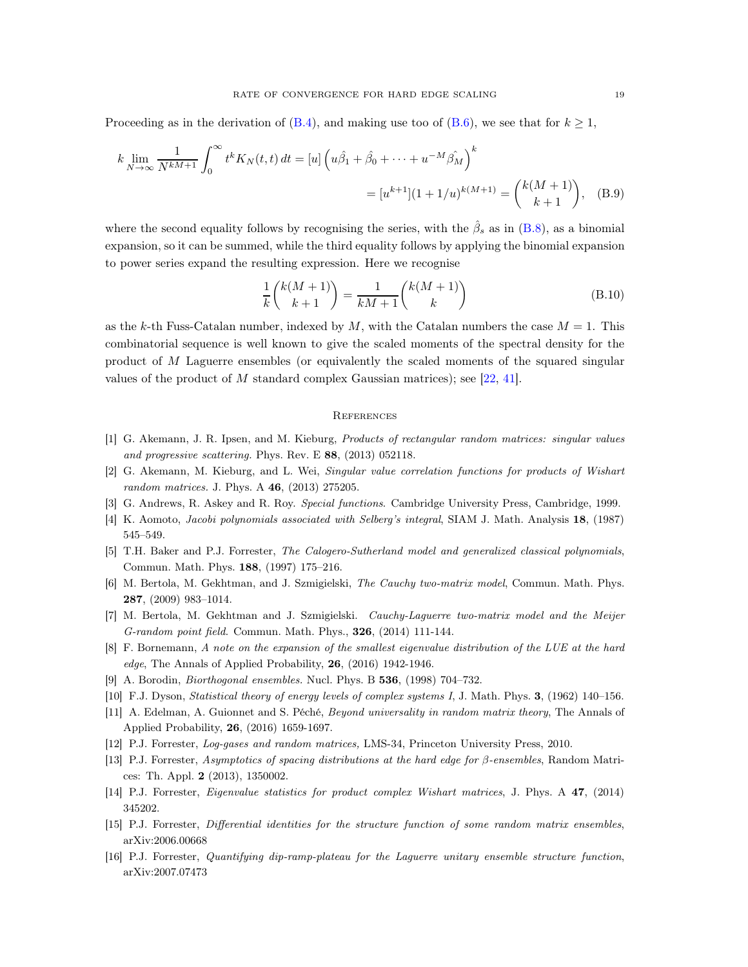Proceeding as in the derivation of  $(B.4)$ , and making use too of  $(B.6)$ , we see that for  $k \geq 1$ ,

$$
k \lim_{N \to \infty} \frac{1}{N^{kM+1}} \int_0^\infty t^k K_N(t, t) dt = [u] \left( u\hat{\beta}_1 + \hat{\beta}_0 + \dots + u^{-M} \hat{\beta}_M \right)^k
$$
  
=  $[u^{k+1}] (1 + 1/u)^{k(M+1)} = {k(M+1) \choose k+1},$  (B.9)

where the second equality follows by recognising the series, with the  $\hat{\beta}_s$  as in [\(B.8\)](#page-17-6), as a binomial expansion, so it can be summed, while the third equality follows by applying the binomial expansion to power series expand the resulting expression. Here we recognise

<span id="page-18-17"></span><span id="page-18-16"></span>
$$
\frac{1}{k} \binom{k(M+1)}{k+1} = \frac{1}{kM+1} \binom{k(M+1)}{k} \tag{B.10}
$$

as the k-th Fuss-Catalan number, indexed by  $M$ , with the Catalan numbers the case  $M = 1$ . This combinatorial sequence is well known to give the scaled moments of the spectral density for the product of M Laguerre ensembles (or equivalently the scaled moments of the squared singular values of the product of M standard complex Gaussian matrices); see  $[22, 41]$  $[22, 41]$ .

### **REFERENCES**

- <span id="page-18-6"></span>[1] G. Akemann, J. R. Ipsen, and M. Kieburg, Products of rectangular random matrices: singular values and progressive scattering. Phys. Rev. E 88, (2013) 052118.
- <span id="page-18-7"></span>[2] G. Akemann, M. Kieburg, and L. Wei, Singular value correlation functions for products of Wishart random matrices. J. Phys. A 46, (2013) 275205.
- <span id="page-18-5"></span>[3] G. Andrews, R. Askey and R. Roy. Special functions. Cambridge University Press, Cambridge, 1999.
- <span id="page-18-15"></span>[4] K. Aomoto, Jacobi polynomials associated with Selberg's integral, SIAM J. Math. Analysis 18, (1987) 545–549.
- <span id="page-18-13"></span>[5] T.H. Baker and P.J. Forrester, The Calogero-Sutherland model and generalized classical polynomials, Commun. Math. Phys. 188, (1997) 175–216.
- <span id="page-18-11"></span>[6] M. Bertola, M. Gekhtman, and J. Szmigielski, The Cauchy two-matrix model, Commun. Math. Phys. 287, (2009) 983–1014.
- <span id="page-18-10"></span>[7] M. Bertola, M. Gekhtman and J. Szmigielski. Cauchy-Laguerre two-matrix model and the Meijer G-random point field. Commun. Math. Phys., 326, (2014) 111-144.
- <span id="page-18-2"></span>[8] F. Bornemann, A note on the expansion of the smallest eigenvalue distribution of the LUE at the hard edge, The Annals of Applied Probability, 26, (2016) 1942-1946.
- <span id="page-18-8"></span>[9] A. Borodin, Biorthogonal ensembles. Nucl. Phys. B 536, (1998) 704–732.
- <span id="page-18-12"></span>[10] F.J. Dyson, Statistical theory of energy levels of complex systems I, J. Math. Phys. 3, (1962) 140–156.
- <span id="page-18-1"></span>[11] A. Edelman, A. Guionnet and S. Péché, Beyond universality in random matrix theory, The Annals of Applied Probability, 26, (2016) 1659-1697.
- <span id="page-18-0"></span>[12] P.J. Forrester, Log-gases and random matrices, LMS-34, Princeton University Press, 2010.
- <span id="page-18-14"></span>[13] P.J. Forrester, Asymptotics of spacing distributions at the hard edge for β-ensembles, Random Matrices: Th. Appl. 2 (2013), 1350002.
- <span id="page-18-9"></span>[14] P.J. Forrester, Eigenvalue statistics for product complex Wishart matrices, J. Phys. A 47, (2014) 345202.
- <span id="page-18-3"></span>[15] P.J. Forrester, Differential identities for the structure function of some random matrix ensembles, arXiv:2006.00668
- <span id="page-18-4"></span>[16] P.J. Forrester, Quantifying dip-ramp-plateau for the Laguerre unitary ensemble structure function, arXiv:2007.07473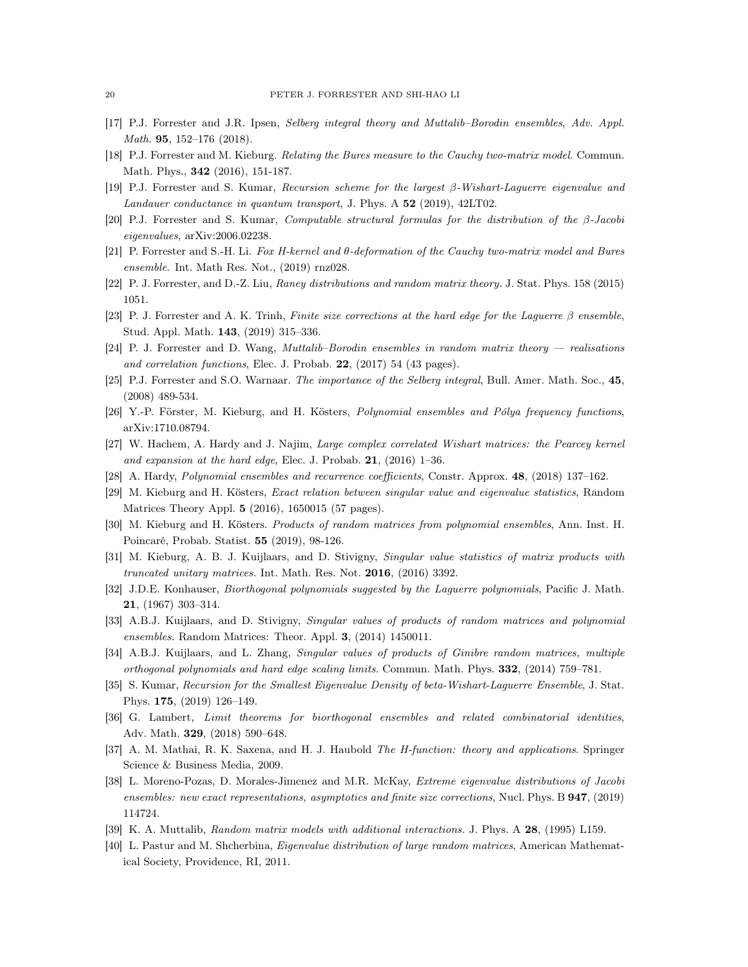- <span id="page-19-18"></span>[17] P.J. Forrester and J.R. Ipsen, Selberg integral theory and Muttalib–Borodin ensembles, Adv. Appl. Math. 95, 152–176 (2018).
- <span id="page-19-16"></span>[18] P.J. Forrester and M. Kieburg. Relating the Bures measure to the Cauchy two-matrix model. Commun. Math. Phys., 342 (2016), 151-187.
- <span id="page-19-6"></span>[19] P.J. Forrester and S. Kumar, Recursion scheme for the largest β-Wishart-Laguerre eigenvalue and Landauer conductance in quantum transport, J. Phys. A 52 (2019), 42LT02.
- <span id="page-19-7"></span>[20] P.J. Forrester and S. Kumar, Computable structural formulas for the distribution of the β-Jacobi eigenvalues, arXiv:2006.02238.
- <span id="page-19-17"></span>[21] P. Forrester and S.-H. Li. Fox H-kernel and θ-deformation of the Cauchy two-matrix model and Bures ensemble. Int. Math Res. Not., (2019) rnz028.
- <span id="page-19-23"></span>[22] P. J. Forrester, and D.-Z. Liu, Raney distributions and random matrix theory. J. Stat. Phys. 158 (2015) 1051.
- <span id="page-19-10"></span>[23] P. J. Forrester and A. K. Trinh, Finite size corrections at the hard edge for the Laguerre β ensemble, Stud. Appl. Math. 143, (2019) 315–336.
- <span id="page-19-12"></span>[24] P. J. Forrester and D. Wang, Muttalib–Borodin ensembles in random matrix theory — realisations and correlation functions, Elec. J. Probab. 22, (2017) 54 (43 pages).
- <span id="page-19-20"></span>[25] P.J. Forrester and S.O. Warnaar. The importance of the Selberg integral, Bull. Amer. Math. Soc., 45, (2008) 489-534.
- <span id="page-19-5"></span>[26] Y.-P. Förster, M. Kieburg, and H. Kösters, Polynomial ensembles and Pólya frequency functions, arXiv:1710.08794.
- <span id="page-19-11"></span>[27] W. Hachem, A. Hardy and J. Najim, Large complex correlated Wishart matrices: the Pearcey kernel and expansion at the hard edge, Elec. J. Probab.  $21$ ,  $(2016)$  1–36.
- <span id="page-19-21"></span>[28] A. Hardy, Polynomial ensembles and recurrence coefficients, Constr. Approx. 48, (2018) 137–162.
- <span id="page-19-1"></span>[29] M. Kieburg and H. Kösters, Exact relation between singular value and eigenvalue statistics, Random Matrices Theory Appl. 5 (2016), 1650015 (57 pages).
- <span id="page-19-4"></span>[30] M. Kieburg and H. Kösters. Products of random matrices from polynomial ensembles, Ann. Inst. H. Poincaré, Probab. Statist. 55 (2019), 98-126.
- <span id="page-19-19"></span>[31] M. Kieburg, A. B. J. Kuijlaars, and D. Stivigny, Singular value statistics of matrix products with truncated unitary matrices. Int. Math. Res. Not. 2016, (2016) 3392.
- <span id="page-19-15"></span>[32] J.D.E. Konhauser, *Biorthogonal polynomials suggested by the Laguerre polynomials*, Pacific J. Math. 21, (1967) 303–314.
- <span id="page-19-14"></span>[33] A.B.J. Kuijlaars, and D. Stivigny, Singular values of products of random matrices and polynomial ensembles. Random Matrices: Theor. Appl. 3, (2014) 1450011.
- <span id="page-19-3"></span>[34] A.B.J. Kuijlaars, and L. Zhang, Singular values of products of Ginibre random matrices, multiple orthogonal polynomials and hard edge scaling limits. Commun. Math. Phys. 332, (2014) 759–781.
- <span id="page-19-8"></span>[35] S. Kumar, Recursion for the Smallest Eigenvalue Density of beta-Wishart-Laguerre Ensemble, J. Stat. Phys. 175, (2019) 126–149.
- <span id="page-19-22"></span>[36] G. Lambert, Limit theorems for biorthogonal ensembles and related combinatorial identities, Adv. Math. 329, (2018) 590–648.
- <span id="page-19-9"></span>[37] A. M. Mathai, R. K. Saxena, and H. J. Haubold The H-function: theory and applications. Springer Science & Business Media, 2009.
- <span id="page-19-2"></span>[38] L. Moreno-Pozas, D. Morales-Jimenez and M.R. McKay, Extreme eigenvalue distributions of Jacobi ensembles: new exact representations, asymptotics and finite size corrections, Nucl. Phys. B 947, (2019) 114724.
- <span id="page-19-13"></span>[39] K. A. Muttalib, Random matrix models with additional interactions. J. Phys. A 28, (1995) L159.
- <span id="page-19-0"></span>[40] L. Pastur and M. Shcherbina, Eigenvalue distribution of large random matrices, American Mathematical Society, Providence, RI, 2011.